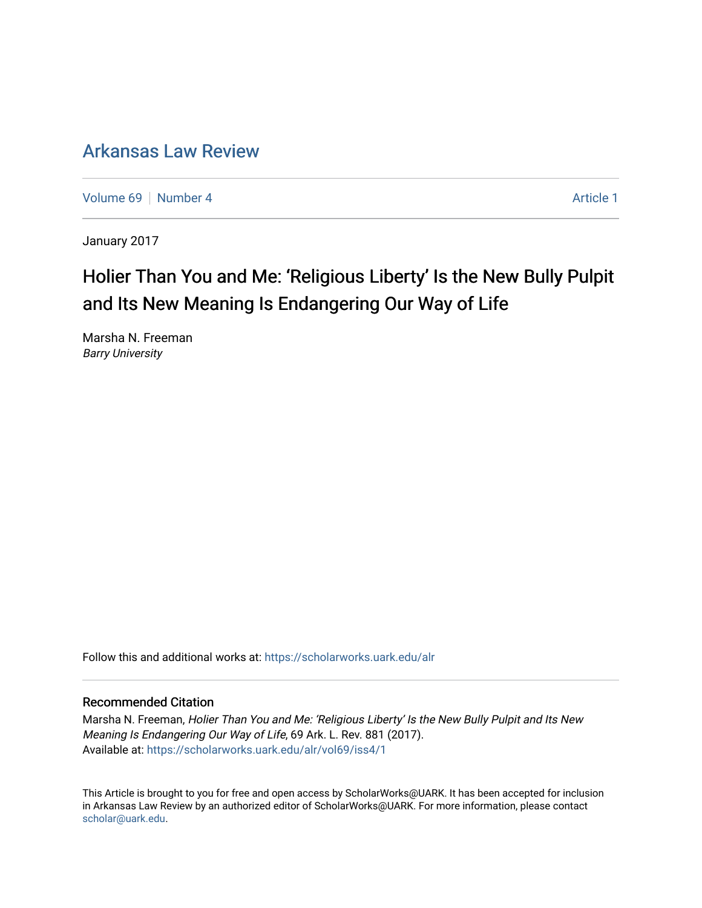# [Arkansas Law Review](https://scholarworks.uark.edu/alr)

[Volume 69](https://scholarworks.uark.edu/alr/vol69) [Number 4](https://scholarworks.uark.edu/alr/vol69/iss4) [Article 1](https://scholarworks.uark.edu/alr/vol69/iss4/1) Article 1

January 2017

# Holier Than You and Me: 'Religious Liberty' Is the New Bully Pulpit and Its New Meaning Is Endangering Our Way of Life

Marsha N. Freeman Barry University

Follow this and additional works at: [https://scholarworks.uark.edu/alr](https://scholarworks.uark.edu/alr?utm_source=scholarworks.uark.edu%2Falr%2Fvol69%2Fiss4%2F1&utm_medium=PDF&utm_campaign=PDFCoverPages) 

#### Recommended Citation

Marsha N. Freeman, Holier Than You and Me: 'Religious Liberty' Is the New Bully Pulpit and Its New Meaning Is Endangering Our Way of Life, 69 Ark. L. Rev. 881 (2017). Available at: [https://scholarworks.uark.edu/alr/vol69/iss4/1](https://scholarworks.uark.edu/alr/vol69/iss4/1?utm_source=scholarworks.uark.edu%2Falr%2Fvol69%2Fiss4%2F1&utm_medium=PDF&utm_campaign=PDFCoverPages)

This Article is brought to you for free and open access by ScholarWorks@UARK. It has been accepted for inclusion in Arkansas Law Review by an authorized editor of ScholarWorks@UARK. For more information, please contact [scholar@uark.edu](mailto:scholar@uark.edu).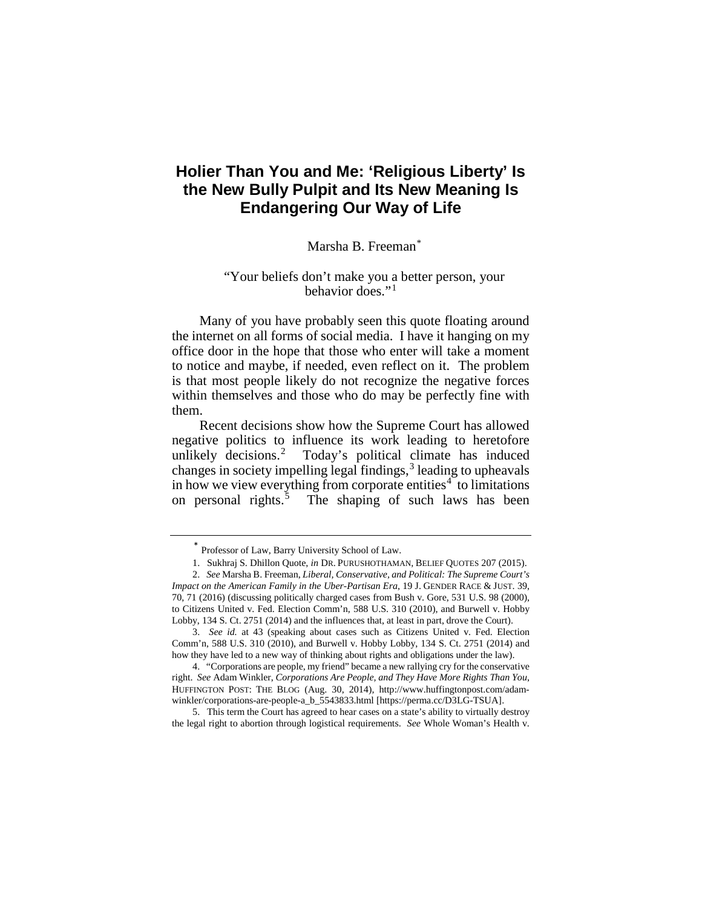# **Holier Than You and Me: 'Religious Liberty' Is the New Bully Pulpit and Its New Meaning Is Endangering Our Way of Life**

#### Marsha B. Freeman[\\*](#page-1-0)

#### "Your beliefs don't make you a better person, your behavior does."[1](#page-1-1)

Many of you have probably seen this quote floating around the internet on all forms of social media. I have it hanging on my office door in the hope that those who enter will take a moment to notice and maybe, if needed, even reflect on it. The problem is that most people likely do not recognize the negative forces within themselves and those who do may be perfectly fine with them.

Recent decisions show how the Supreme Court has allowed negative politics to influence its work leading to heretofore unlikely decisions.<sup>[2](#page-1-2)</sup> Today's political climate has induced changes in society impelling legal findings, $3$  leading to upheavals in how we view everything from corporate entities<sup>[4](#page-1-4)</sup> to limitations on personal rights.<sup>[5](#page-1-5)</sup> The shaping of such laws has been

<span id="page-1-5"></span>5. This term the Court has agreed to hear cases on a state's ability to virtually destroy the legal right to abortion through logistical requirements. *See* Whole Woman's Health v.

Professor of Law, Barry University School of Law.

<sup>1.</sup> Sukhraj S. Dhillon Quote, *in* DR. PURUSHOTHAMAN, BELIEF QUOTES 207 (2015).

<span id="page-1-2"></span><span id="page-1-1"></span><span id="page-1-0"></span><sup>2.</sup> *See* Marsha B. Freeman, *Liberal, Conservative, and Political: The Supreme Court's Impact on the American Family in the Uber-Partisan Era*, 19 J. GENDER RACE & JUST. 39, 70, 71 (2016) (discussing politically charged cases from Bush v. Gore, 531 U.S. 98 (2000), to Citizens United v. Fed. Election Comm'n, 588 U.S. 310 (2010), and Burwell v. Hobby Lobby, 134 S. Ct. 2751 (2014) and the influences that, at least in part, drove the Court).

<span id="page-1-3"></span><sup>3.</sup> *See id.* at 43 (speaking about cases such as Citizens United v. Fed. Election Comm'n, 588 U.S. 310 (2010), and Burwell v. Hobby Lobby, 134 S. Ct. 2751 (2014) and how they have led to a new way of thinking about rights and obligations under the law).

<span id="page-1-4"></span><sup>4.</sup> "Corporations are people, my friend" became a new rallying cry for the conservative right. *See* Adam Winkler, *Corporations Are People, and They Have More Rights Than You*, HUFFINGTON POST: THE BLOG (Aug. 30, 2014), http://www.huffingtonpost.com/adamwinkler/corporations-are-people-a\_b\_5543833.html [https://perma.cc/D3LG-TSUA].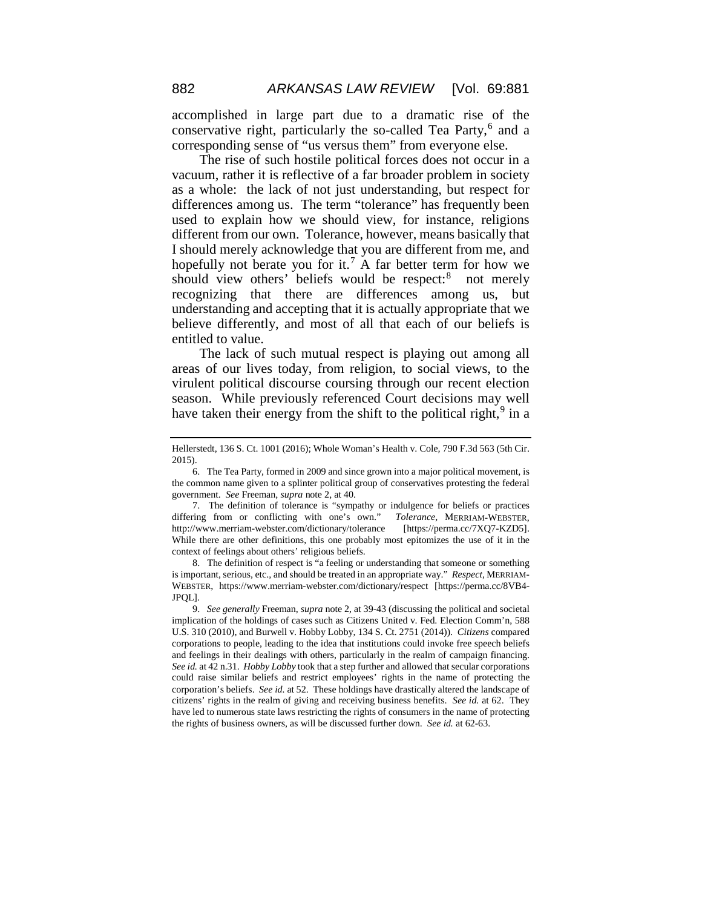accomplished in large part due to a dramatic rise of the conservative right, particularly the so-called Tea Party, $6$  and a corresponding sense of "us versus them" from everyone else.

The rise of such hostile political forces does not occur in a vacuum, rather it is reflective of a far broader problem in society as a whole: the lack of not just understanding, but respect for differences among us. The term "tolerance" has frequently been used to explain how we should view, for instance, religions different from our own. Tolerance, however, means basically that I should merely acknowledge that you are different from me, and hopefully not berate you for it.<sup>[7](#page-2-1)</sup> A far better term for how we should view others' beliefs would be respect:<sup>[8](#page-2-2)</sup> not merely recognizing that there are differences among us, but understanding and accepting that it is actually appropriate that we believe differently, and most of all that each of our beliefs is entitled to value.

The lack of such mutual respect is playing out among all areas of our lives today, from religion, to social views, to the virulent political discourse coursing through our recent election season. While previously referenced Court decisions may well have taken their energy from the shift to the political right, $9$  in a

<span id="page-2-2"></span>8. The definition of respect is "a feeling or understanding that someone or something is important, serious, etc., and should be treated in an appropriate way." *Respect*, MERRIAM-WEBSTER, https://www.merriam-webster.com/dictionary/respect [https://perma.cc/8VB4- JPQL]*.*

<span id="page-2-3"></span>9. *See generally* Freeman, *supra* note 2, at 39-43 (discussing the political and societal implication of the holdings of cases such as Citizens United v. Fed. Election Comm'n, 588 U.S. 310 (2010), and Burwell v. Hobby Lobby, 134 S. Ct. 2751 (2014)). *Citizens* compared corporations to people, leading to the idea that institutions could invoke free speech beliefs and feelings in their dealings with others, particularly in the realm of campaign financing. *See id.* at 42 n.31. *Hobby Lobby* took that a step further and allowed that secular corporations could raise similar beliefs and restrict employees' rights in the name of protecting the corporation's beliefs. *See id.* at 52. These holdings have drastically altered the landscape of citizens' rights in the realm of giving and receiving business benefits. *See id.* at 62. They have led to numerous state laws restricting the rights of consumers in the name of protecting the rights of business owners, as will be discussed further down. *See id.* at 62-63.

Hellerstedt, 136 S. Ct. 1001 (2016); Whole Woman's Health v. Cole*,* 790 F.3d 563 (5th Cir. 2015).

<span id="page-2-0"></span><sup>6.</sup> The Tea Party, formed in 2009 and since grown into a major political movement, is the common name given to a splinter political group of conservatives protesting the federal government. *See* Freeman, *supra* note 2, at 40.

<span id="page-2-1"></span><sup>7.</sup> The definition of tolerance is "sympathy or indulgence for beliefs or practices differing from or conflicting with one's own." *Tolerance*, MERRIAM-WEBSTER, http://www.merriam-webster.com/dictionary/tolerance [https://perma.cc/7XQ7-KZD5]. While there are other definitions, this one probably most epitomizes the use of it in the context of feelings about others' religious beliefs.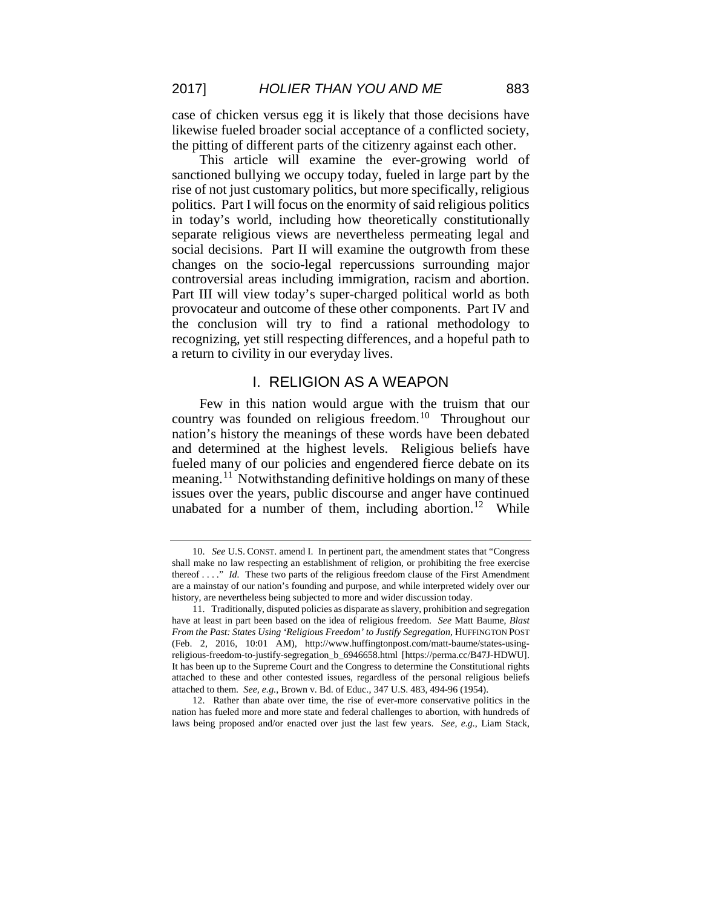case of chicken versus egg it is likely that those decisions have likewise fueled broader social acceptance of a conflicted society, the pitting of different parts of the citizenry against each other.

This article will examine the ever-growing world of sanctioned bullying we occupy today, fueled in large part by the rise of not just customary politics, but more specifically, religious politics. Part I will focus on the enormity of said religious politics in today's world, including how theoretically constitutionally separate religious views are nevertheless permeating legal and social decisions. Part II will examine the outgrowth from these changes on the socio-legal repercussions surrounding major controversial areas including immigration, racism and abortion. Part III will view today's super-charged political world as both provocateur and outcome of these other components. Part IV and the conclusion will try to find a rational methodology to recognizing, yet still respecting differences, and a hopeful path to a return to civility in our everyday lives.

## I. RELIGION AS A WEAPON

Few in this nation would argue with the truism that our country was founded on religious freedom.[10](#page-3-0) Throughout our nation's history the meanings of these words have been debated and determined at the highest levels. Religious beliefs have fueled many of our policies and engendered fierce debate on its meaning.<sup>[11](#page-3-1)</sup> Notwithstanding definitive holdings on many of these issues over the years, public discourse and anger have continued unabated for a number of them, including abortion.<sup>12</sup> While

<span id="page-3-0"></span><sup>10.</sup> *See* U.S. CONST. amend I. In pertinent part, the amendment states that "Congress shall make no law respecting an establishment of religion, or prohibiting the free exercise thereof . . . ." *Id.* These two parts of the religious freedom clause of the First Amendment are a mainstay of our nation's founding and purpose, and while interpreted widely over our history, are nevertheless being subjected to more and wider discussion today.

<span id="page-3-1"></span><sup>11.</sup> Traditionally, disputed policies as disparate as slavery, prohibition and segregation have at least in part been based on the idea of religious freedom. *See* Matt Baume, *Blast From the Past: States Using 'Religious Freedom' to Justify Segregation*, HUFFINGTON POST (Feb. 2, 2016, 10:01 AM), http://www.huffingtonpost.com/matt-baume/states-usingreligious-freedom-to-justify-segregation\_b\_6946658.html [https://perma.cc/B47J-HDWU]. It has been up to the Supreme Court and the Congress to determine the Constitutional rights attached to these and other contested issues, regardless of the personal religious beliefs attached to them. *See, e.g.*, Brown v. Bd. of Educ., 347 U.S. 483, 494-96 (1954).

<span id="page-3-2"></span><sup>12.</sup> Rather than abate over time, the rise of ever-more conservative politics in the nation has fueled more and more state and federal challenges to abortion, with hundreds of laws being proposed and/or enacted over just the last few years. *See, e.g.*, Liam Stack,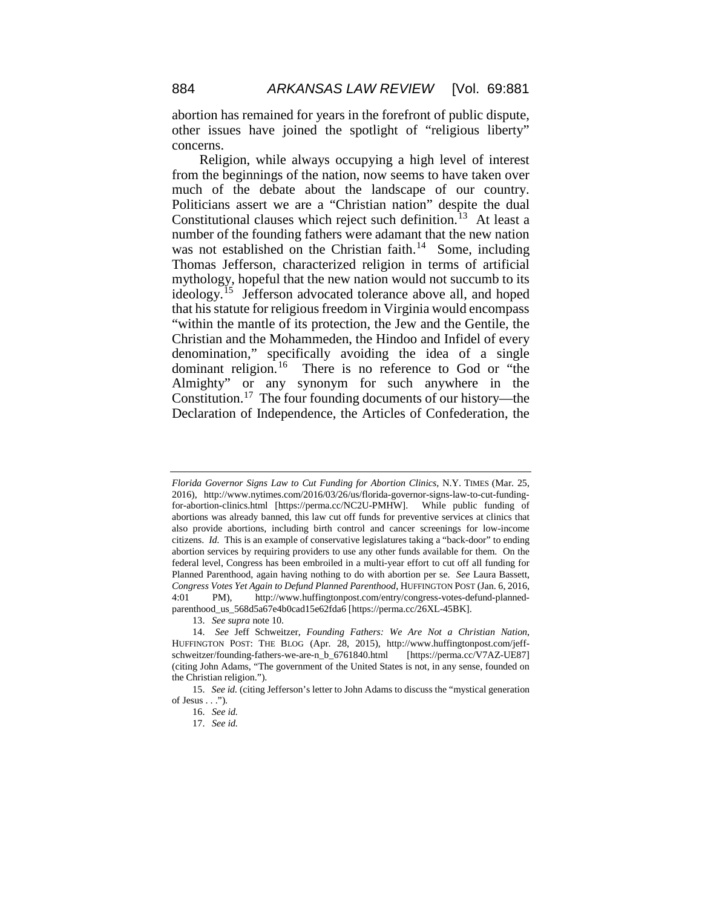abortion has remained for years in the forefront of public dispute, other issues have joined the spotlight of "religious liberty" concerns.

Religion, while always occupying a high level of interest from the beginnings of the nation, now seems to have taken over much of the debate about the landscape of our country. Politicians assert we are a "Christian nation" despite the dual Constitutional clauses which reject such definition.<sup>13</sup> At least a number of the founding fathers were adamant that the new nation was not established on the Christian faith.<sup>14</sup> Some, including Thomas Jefferson, characterized religion in terms of artificial mythology, hopeful that the new nation would not succumb to its ideology.<sup>15</sup> Jefferson advocated tolerance above all, and hoped that his statute for religious freedom in Virginia would encompass "within the mantle of its protection, the Jew and the Gentile, the Christian and the Mohammeden, the Hindoo and Infidel of every denomination," specifically avoiding the idea of a single dominant religion.<sup>16</sup> There is no reference to God or "the Almighty" or any synonym for such anywhere in the Constitution.[17](#page-4-4) The four founding documents of our history—the Declaration of Independence, the Articles of Confederation, the

*Florida Governor Signs Law to Cut Funding for Abortion Clinics*, N.Y. TIMES (Mar. 25, 2016), http://www.nytimes.com/2016/03/26/us/florida-governor-signs-law-to-cut-fundingfor-abortion-clinics.html [https://perma.cc/NC2U-PMHW]. While public funding of abortions was already banned, this law cut off funds for preventive services at clinics that also provide abortions, including birth control and cancer screenings for low-income citizens. *Id.* This is an example of conservative legislatures taking a "back-door" to ending abortion services by requiring providers to use any other funds available for them. On the federal level, Congress has been embroiled in a multi-year effort to cut off all funding for Planned Parenthood, again having nothing to do with abortion per se. *See* Laura Bassett, *Congress Votes Yet Again to Defund Planned Parenthood*, HUFFINGTON POST (Jan. 6, 2016, 4:01 PM), http://www.huffingtonpost.com/entry/congress-votes-defund-plannedparenthood\_us\_568d5a67e4b0cad15e62fda6 [https://perma.cc/26XL-45BK].

<sup>13.</sup> *See supra* note 10.

<span id="page-4-1"></span><span id="page-4-0"></span><sup>14.</sup> *See* Jeff Schweitzer, *Founding Fathers: We Are Not a Christian Nation*, HUFFINGTON POST: THE BLOG (Apr. 28, 2015), http://www.huffingtonpost.com/jeffschweitzer/founding-fathers-we-are-n\_b\_6761840.html [https://perma.cc/V7AZ-UE87] (citing John Adams, "The government of the United States is not, in any sense, founded on the Christian religion.").

<span id="page-4-4"></span><span id="page-4-3"></span><span id="page-4-2"></span><sup>15.</sup> *See id.* (citing Jefferson's letter to John Adams to discuss the "mystical generation of Jesus  $\dots$ ").

<sup>16.</sup> *See id.*

<sup>17.</sup> *See id.*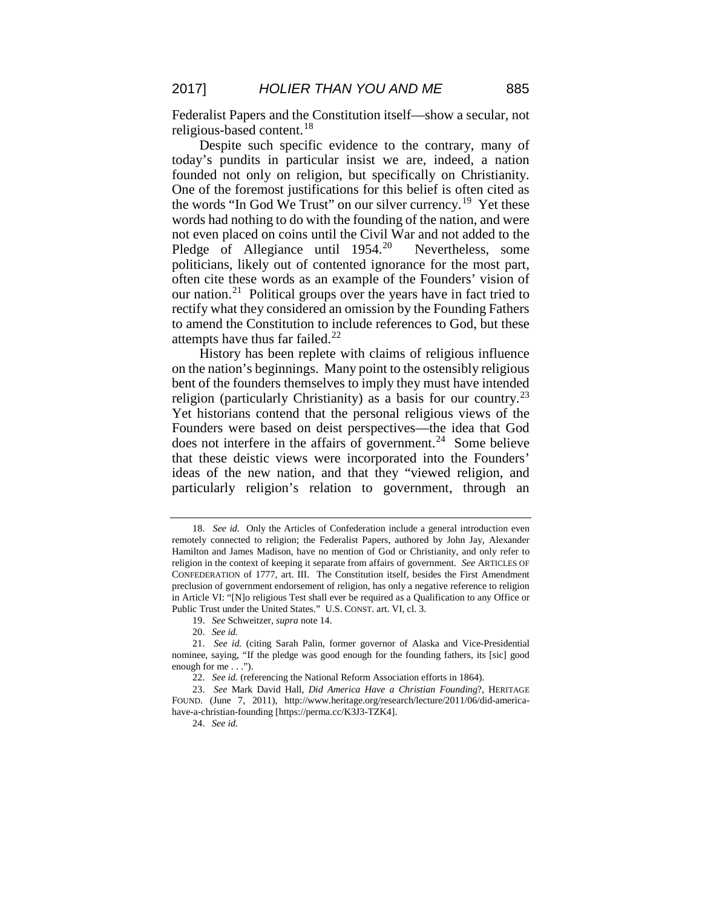Federalist Papers and the Constitution itself—show a secular, not religious-based content.<sup>[18](#page-5-0)</sup>

Despite such specific evidence to the contrary, many of today's pundits in particular insist we are, indeed, a nation founded not only on religion, but specifically on Christianity. One of the foremost justifications for this belief is often cited as the words "In God We Trust" on our silver currency.<sup>[19](#page-5-1)</sup> Yet these words had nothing to do with the founding of the nation, and were not even placed on coins until the Civil War and not added to the Pledge of Allegiance until 1954.<sup>[20](#page-5-2)</sup> Nevertheless, some politicians, likely out of contented ignorance for the most part, often cite these words as an example of the Founders' vision of our nation.[21](#page-5-3) Political groups over the years have in fact tried to rectify what they considered an omission by the Founding Fathers to amend the Constitution to include references to God, but these attempts have thus far failed. $22$ 

History has been replete with claims of religious influence on the nation's beginnings. Many point to the ostensibly religious bent of the founders themselves to imply they must have intended religion (particularly Christianity) as a basis for our country.<sup>[23](#page-5-5)</sup> Yet historians contend that the personal religious views of the Founders were based on deist perspectives—the idea that God does not interfere in the affairs of government.<sup>24</sup> Some believe that these deistic views were incorporated into the Founders' ideas of the new nation, and that they "viewed religion, and particularly religion's relation to government, through an

19. *See* Schweitzer, *supra* note 14.

<span id="page-5-0"></span><sup>18.</sup> *See id.* Only the Articles of Confederation include a general introduction even remotely connected to religion; the Federalist Papers, authored by John Jay, Alexander Hamilton and James Madison, have no mention of God or Christianity, and only refer to religion in the context of keeping it separate from affairs of government. *See* ARTICLES OF CONFEDERATION of 1777, art. III. The Constitution itself, besides the First Amendment preclusion of government endorsement of religion, has only a negative reference to religion in Article VI: "[N]o religious Test shall ever be required as a Qualification to any Office or Public Trust under the United States." U.S. CONST. art. VI, cl. 3.

<sup>20.</sup> *See id.*

<span id="page-5-3"></span><span id="page-5-2"></span><span id="page-5-1"></span><sup>21.</sup> *See id.* (citing Sarah Palin, former governor of Alaska and Vice-Presidential nominee, saying, "If the pledge was good enough for the founding fathers, its [sic] good enough for me . . .").

<sup>22.</sup> *See id.* (referencing the National Reform Association efforts in 1864).

<span id="page-5-6"></span><span id="page-5-5"></span><span id="page-5-4"></span><sup>23.</sup> *See* Mark David Hall, *Did America Have a Christian Founding*?, HERITAGE FOUND. (June 7, 2011), http://www.heritage.org/research/lecture/2011/06/did-americahave-a-christian-founding [https://perma.cc/K3J3-TZK4].

<sup>24.</sup> *See id.*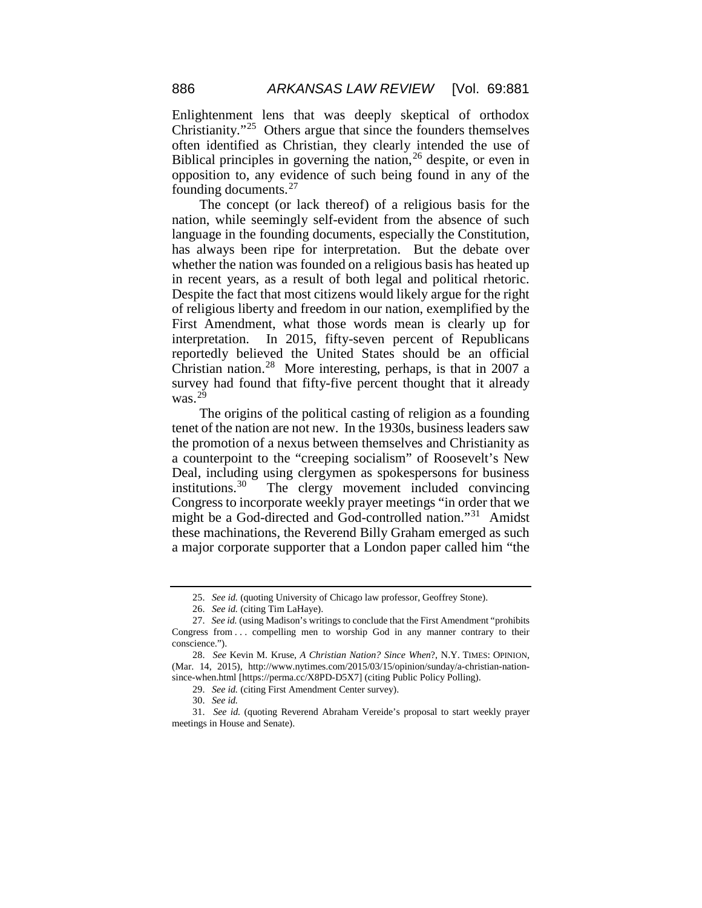Enlightenment lens that was deeply skeptical of orthodox Christianity."[25](#page-6-0) Others argue that since the founders themselves often identified as Christian, they clearly intended the use of Biblical principles in governing the nation,<sup>[26](#page-6-1)</sup> despite, or even in opposition to, any evidence of such being found in any of the founding documents.[27](#page-6-2)

The concept (or lack thereof) of a religious basis for the nation, while seemingly self-evident from the absence of such language in the founding documents, especially the Constitution, has always been ripe for interpretation. But the debate over whether the nation was founded on a religious basis has heated up in recent years, as a result of both legal and political rhetoric. Despite the fact that most citizens would likely argue for the right of religious liberty and freedom in our nation, exemplified by the First Amendment, what those words mean is clearly up for interpretation. In 2015, fifty-seven percent of Republicans reportedly believed the United States should be an official Christian nation.<sup>28</sup> More interesting, perhaps, is that in 2007 a survey had found that fifty-five percent thought that it already was. $^{29}$  $^{29}$  $^{29}$ 

The origins of the political casting of religion as a founding tenet of the nation are not new. In the 1930s, business leaders saw the promotion of a nexus between themselves and Christianity as a counterpoint to the "creeping socialism" of Roosevelt's New Deal, including using clergymen as spokespersons for business institutions. $30$  The clergy movement included convincing Congress to incorporate weekly prayer meetings "in order that we might be a God-directed and God-controlled nation."[31](#page-6-6) Amidst these machinations, the Reverend Billy Graham emerged as such a major corporate supporter that a London paper called him "the

<sup>25.</sup> *See id.* (quoting University of Chicago law professor, Geoffrey Stone).

<sup>26.</sup> *See id.* (citing Tim LaHaye).

<span id="page-6-2"></span><span id="page-6-1"></span><span id="page-6-0"></span><sup>27.</sup> *See id.* (using Madison's writings to conclude that the First Amendment "prohibits Congress from . . . compelling men to worship God in any manner contrary to their conscience.").

<span id="page-6-3"></span><sup>28.</sup> *See* Kevin M. Kruse, *A Christian Nation? Since When*?, N.Y. TIMES: OPINION, (Mar. 14, 2015), http://www.nytimes.com/2015/03/15/opinion/sunday/a-christian-nationsince-when.html [https://perma.cc/X8PD-D5X7] (citing Public Policy Polling).

<sup>29.</sup> *See id.* (citing First Amendment Center survey).

<sup>30.</sup> *See id.*

<span id="page-6-6"></span><span id="page-6-5"></span><span id="page-6-4"></span><sup>31.</sup> *See id.* (quoting Reverend Abraham Vereide's proposal to start weekly prayer meetings in House and Senate).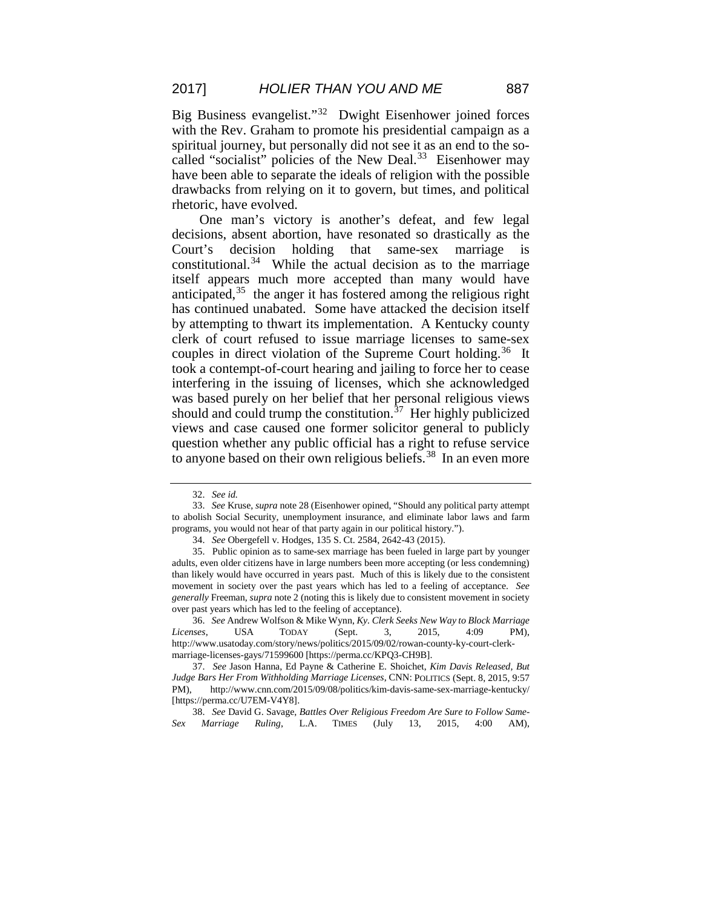Big Business evangelist."[32](#page-7-0) Dwight Eisenhower joined forces with the Rev. Graham to promote his presidential campaign as a spiritual journey, but personally did not see it as an end to the so-called "socialist" policies of the New Deal.<sup>[33](#page-7-1)</sup> Eisenhower may have been able to separate the ideals of religion with the possible drawbacks from relying on it to govern, but times, and political rhetoric, have evolved.

One man's victory is another's defeat, and few legal decisions, absent abortion, have resonated so drastically as the Court's decision holding that same-sex marriage is constitutional.<sup>[34](#page-7-2)</sup> While the actual decision as to the marriage itself appears much more accepted than many would have anticipated, $35$  the anger it has fostered among the religious right has continued unabated. Some have attacked the decision itself by attempting to thwart its implementation. A Kentucky county clerk of court refused to issue marriage licenses to same-sex couples in direct violation of the Supreme Court holding.<sup>36</sup> It took a contempt-of-court hearing and jailing to force her to cease interfering in the issuing of licenses, which she acknowledged was based purely on her belief that her personal religious views should and could trump the constitution.<sup>[37](#page-7-5)</sup> Her highly publicized views and case caused one former solicitor general to publicly question whether any public official has a right to refuse service to anyone based on their own religious beliefs.<sup>[38](#page-7-6)</sup> In an even more

<span id="page-7-6"></span>38. *See* David G. Savage, *Battles Over Religious Freedom Are Sure to Follow Same-Sex Marriage Ruling*, L.A. TIMES (July 13, 2015, 4:00 AM),

<sup>32.</sup> *See id.*

<span id="page-7-1"></span><span id="page-7-0"></span><sup>33.</sup> *See* Kruse, *supra* note 28 (Eisenhower opined, "Should any political party attempt to abolish Social Security, unemployment insurance, and eliminate labor laws and farm programs, you would not hear of that party again in our political history.").

<sup>34.</sup> *See* Obergefell v. Hodges, 135 S. Ct. 2584, 2642-43 (2015).

<span id="page-7-3"></span><span id="page-7-2"></span><sup>35.</sup> Public opinion as to same-sex marriage has been fueled in large part by younger adults, even older citizens have in large numbers been more accepting (or less condemning) than likely would have occurred in years past. Much of this is likely due to the consistent movement in society over the past years which has led to a feeling of acceptance. *See generally* Freeman, *supra* note 2 (noting this is likely due to consistent movement in society over past years which has led to the feeling of acceptance).

<span id="page-7-4"></span><sup>36.</sup> *See* Andrew Wolfson & Mike Wynn, *Ky. Clerk Seeks New Way to Block Marriage Licenses*, USA TODAY (Sept. 3, 2015, 4:09 PM), http://www.usatoday.com/story/news/politics/2015/09/02/rowan-county-ky-court-clerkmarriage-licenses-gays/71599600 [https://perma.cc/KPQ3-CH9B].

<span id="page-7-5"></span><sup>37.</sup> *See* Jason Hanna, Ed Payne & Catherine E. Shoichet, *Kim Davis Released, But Judge Bars Her From Withholding Marriage Licenses*, CNN: POLITICS (Sept. 8, 2015, 9:57 PM), http://www.cnn.com/2015/09/08/politics/kim-davis-same-sex-marriage-kentucky/ [https://perma.cc/U7EM-V4Y8].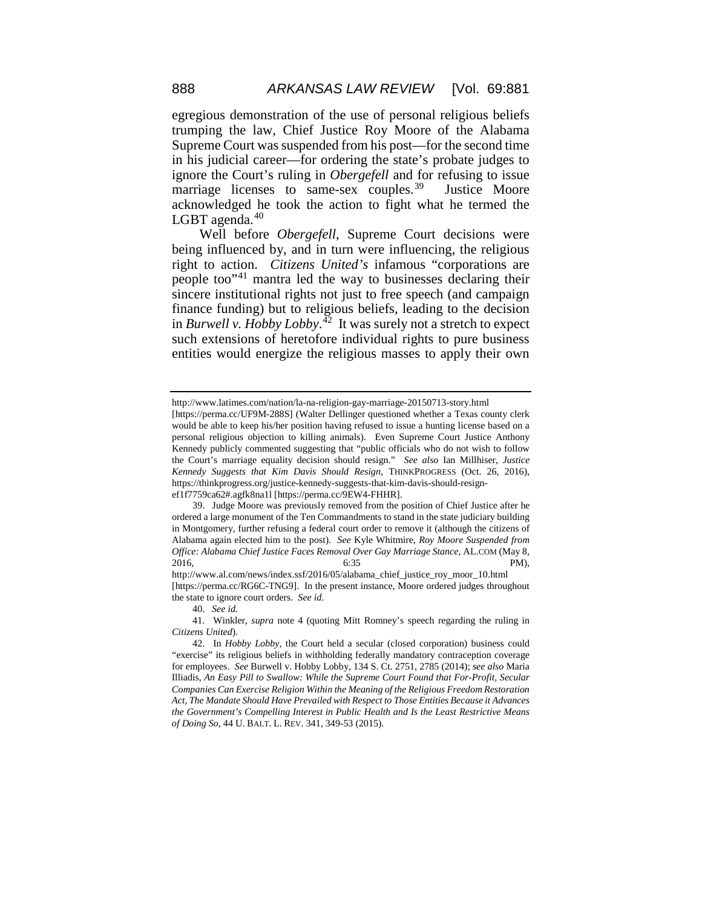egregious demonstration of the use of personal religious beliefs trumping the law, Chief Justice Roy Moore of the Alabama Supreme Court was suspended from his post—for the second time in his judicial career—for ordering the state's probate judges to ignore the Court's ruling in *Obergefell* and for refusing to issue marriage licenses to same-sex couples.<sup>39</sup> Justice Moore acknowledged he took the action to fight what he termed the LGBT agenda. $40$ 

Well before *Obergefell*, Supreme Court decisions were being influenced by, and in turn were influencing, the religious right to action. *Citizens United's* infamous "corporations are people too"[41](#page-8-2) mantra led the way to businesses declaring their sincere institutional rights not just to free speech (and campaign finance funding) but to religious beliefs, leading to the decision in *Burwell v. Hobby Lobby*. [42](#page-8-3) It was surely not a stretch to expect such extensions of heretofore individual rights to pure business entities would energize the religious masses to apply their own

http://www.latimes.com/nation/la-na-religion-gay-marriage-20150713-story.html

<sup>[</sup>https://perma.cc/UF9M-288S] (Walter Dellinger questioned whether a Texas county clerk would be able to keep his/her position having refused to issue a hunting license based on a personal religious objection to killing animals). Even Supreme Court Justice Anthony Kennedy publicly commented suggesting that "public officials who do not wish to follow the Court's marriage equality decision should resign." *See also* Ian Millhiser, *Justice Kennedy Suggests that Kim Davis Should Resign*, THINKPROGRESS (Oct. 26, 2016), https://thinkprogress.org/justice-kennedy-suggests-that-kim-davis-should-resign-

ef1f7759ca62#.agfk8na1l [https://perma.cc/9EW4-FHHR].

<span id="page-8-0"></span><sup>39.</sup> Judge Moore was previously removed from the position of Chief Justice after he ordered a large monument of the Ten Commandments to stand in the state judiciary building in Montgomery, further refusing a federal court order to remove it (although the citizens of Alabama again elected him to the post). *See* Kyle Whitmire, *Roy Moore Suspended from Office: Alabama Chief Justice Faces Removal Over Gay Marriage Stance*, AL.COM (May 8, 2016, 6:35 PM),

http://www.al.com/news/index.ssf/2016/05/alabama\_chief\_justice\_roy\_moor\_10.html [https://perma.cc/RG6C-TNG9]. In the present instance, Moore ordered judges throughout the state to ignore court orders. *See id.*

<sup>40.</sup> *See id.*

<span id="page-8-2"></span><span id="page-8-1"></span><sup>41.</sup> Winkler, *supra* note 4 (quoting Mitt Romney's speech regarding the ruling in *Citizens United*).

<span id="page-8-3"></span><sup>42.</sup> In *Hobby Lobby*, the Court held a secular (closed corporation) business could "exercise" its religious beliefs in withholding federally mandatory contraception coverage for employees. *See* Burwell v. Hobby Lobby, 134 S. Ct. 2751, 2785 (2014); *see also* Maria Illiadis, *An Easy Pill to Swallow: While the Supreme Court Found that For-Profit, Secular Companies Can Exercise Religion Within the Meaning of the Religious Freedom Restoration Act, The Mandate Should Have Prevailed with Respect to Those Entities Because it Advances the Government's Compelling Interest in Public Health and Is the Least Restrictive Means of Doing So*, 44 U. BALT. L. REV. 341, 349-53 (2015).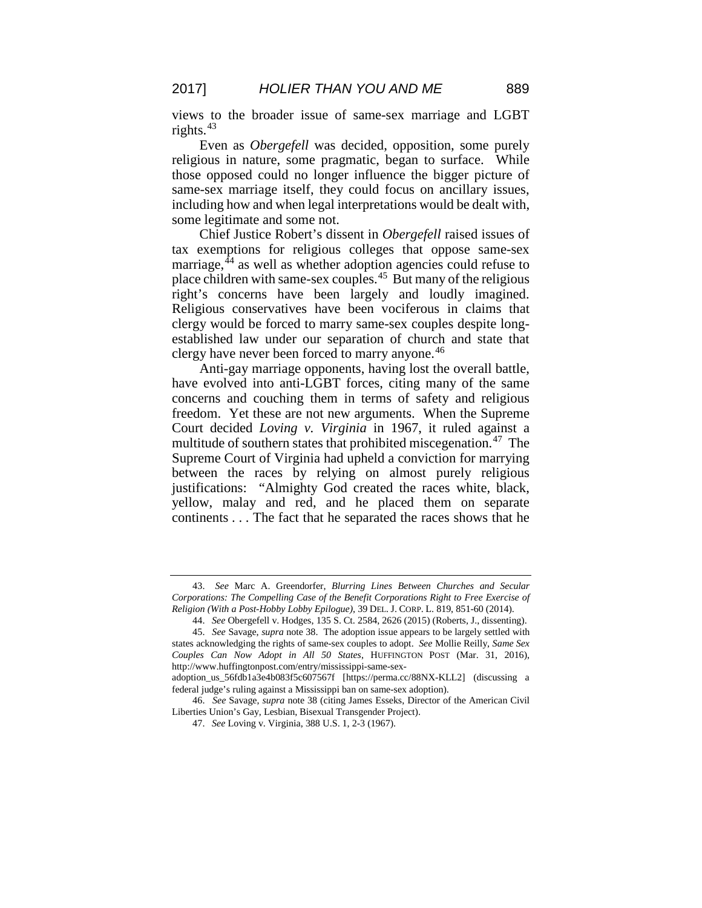views to the broader issue of same-sex marriage and LGBT rights. $43$ 

Even as *Obergefell* was decided, opposition, some purely religious in nature, some pragmatic, began to surface. While those opposed could no longer influence the bigger picture of same-sex marriage itself, they could focus on ancillary issues, including how and when legal interpretations would be dealt with, some legitimate and some not.

Chief Justice Robert's dissent in *Obergefell* raised issues of tax exemptions for religious colleges that oppose same-sex marriage,<sup>[44](#page-9-1)</sup> as well as whether adoption agencies could refuse to place children with same-sex couples.[45](#page-9-2) But many of the religious right's concerns have been largely and loudly imagined. Religious conservatives have been vociferous in claims that clergy would be forced to marry same-sex couples despite longestablished law under our separation of church and state that clergy have never been forced to marry anyone.<sup>[46](#page-9-3)</sup>

Anti-gay marriage opponents, having lost the overall battle, have evolved into anti-LGBT forces, citing many of the same concerns and couching them in terms of safety and religious freedom. Yet these are not new arguments. When the Supreme Court decided *Loving v. Virginia* in 1967, it ruled against a multitude of southern states that prohibited miscegenation.<sup>[47](#page-9-4)</sup> The Supreme Court of Virginia had upheld a conviction for marrying between the races by relying on almost purely religious justifications: "Almighty God created the races white, black, yellow, malay and red, and he placed them on separate continents . . . The fact that he separated the races shows that he

<span id="page-9-0"></span><sup>43.</sup> *See* Marc A. Greendorfer, *Blurring Lines Between Churches and Secular Corporations: The Compelling Case of the Benefit Corporations Right to Free Exercise of Religion (With a Post-Hobby Lobby Epilogue)*, 39 DEL. J. CORP. L. 819, 851-60 (2014).

<sup>44.</sup> *See* Obergefell v. Hodges, 135 S. Ct. 2584, 2626 (2015) (Roberts, J., dissenting).

<span id="page-9-2"></span><span id="page-9-1"></span><sup>45.</sup> *See* Savage, *supra* note 38. The adoption issue appears to be largely settled with states acknowledging the rights of same-sex couples to adopt. *See* Mollie Reilly, *Same Sex Couples Can Now Adopt in All 50 States*, HUFFINGTON POST (Mar. 31, 2016), http://www.huffingtonpost.com/entry/mississippi-same-sex-

adoption\_us\_56fdb1a3e4b083f5c607567f [https://perma.cc/88NX-KLL2] (discussing a federal judge's ruling against a Mississippi ban on same-sex adoption).

<span id="page-9-4"></span><span id="page-9-3"></span><sup>46.</sup> *See* Savage, *supra* note 38 (citing James Esseks, Director of the American Civil Liberties Union's Gay, Lesbian, Bisexual Transgender Project).

<sup>47.</sup> *See* Loving v. Virginia, 388 U.S. 1, 2-3 (1967).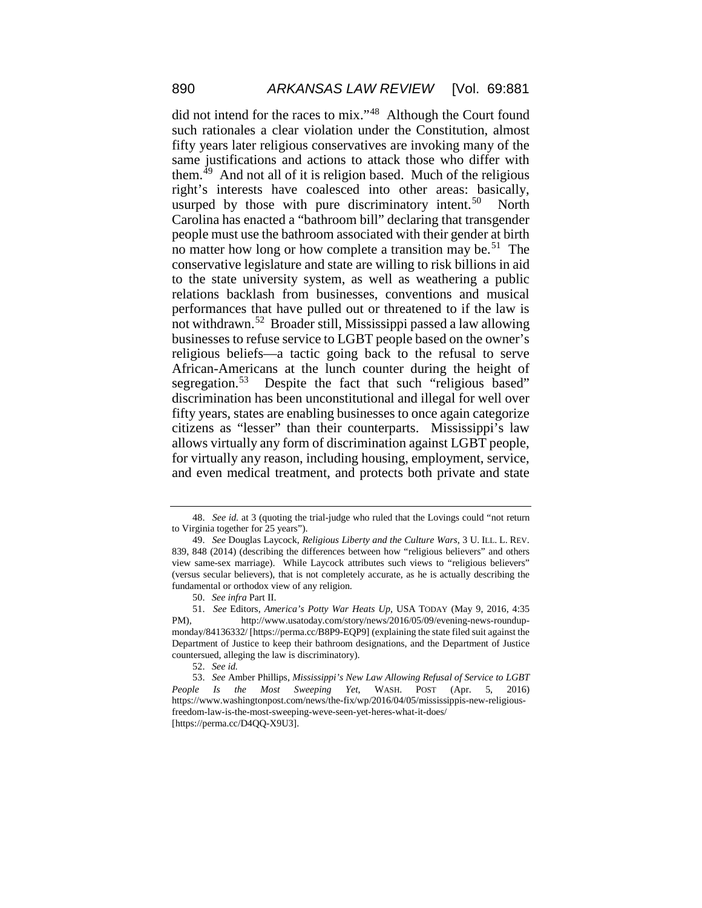did not intend for the races to mix."[48](#page-10-0) Although the Court found such rationales a clear violation under the Constitution, almost fifty years later religious conservatives are invoking many of the same justifications and actions to attack those who differ with them.[49](#page-10-1) And not all of it is religion based. Much of the religious right's interests have coalesced into other areas: basically, usurped by those with pure discriminatory intent.<sup>50</sup> North Carolina has enacted a "bathroom bill" declaring that transgender people must use the bathroom associated with their gender at birth no matter how long or how complete a transition may be.<sup>51</sup> The conservative legislature and state are willing to risk billions in aid to the state university system, as well as weathering a public relations backlash from businesses, conventions and musical performances that have pulled out or threatened to if the law is not withdrawn.[52](#page-10-4) Broader still, Mississippi passed a law allowing businesses to refuse service to LGBT people based on the owner's religious beliefs—a tactic going back to the refusal to serve African-Americans at the lunch counter during the height of segregation.<sup>53</sup> Despite the fact that such "religious based" discrimination has been unconstitutional and illegal for well over fifty years, states are enabling businesses to once again categorize citizens as "lesser" than their counterparts. Mississippi's law allows virtually any form of discrimination against LGBT people, for virtually any reason, including housing, employment, service, and even medical treatment, and protects both private and state

<span id="page-10-0"></span><sup>48.</sup> *See id.* at 3 (quoting the trial-judge who ruled that the Lovings could "not return to Virginia together for 25 years").

<span id="page-10-1"></span><sup>49.</sup> *See* Douglas Laycock, *Religious Liberty and the Culture Wars*, 3 U. ILL. L. REV. 839, 848 (2014) (describing the differences between how "religious believers" and others view same-sex marriage). While Laycock attributes such views to "religious believers" (versus secular believers), that is not completely accurate, as he is actually describing the fundamental or orthodox view of any religion.

<sup>50.</sup> *See infra* Part II.

<span id="page-10-3"></span><span id="page-10-2"></span><sup>51.</sup> *See* Editors, *America's Potty War Heats Up*, USA TODAY (May 9, 2016, 4:35 PM), http://www.usatoday.com/story/news/2016/05/09/evening-news-roundupmonday/84136332/ [https://perma.cc/B8P9-EQP9] (explaining the state filed suit against the Department of Justice to keep their bathroom designations, and the Department of Justice countersued, alleging the law is discriminatory).

<sup>52.</sup> *See id.*

<span id="page-10-5"></span><span id="page-10-4"></span><sup>53.</sup> *See* Amber Phillips, *Mississippi's New Law Allowing Refusal of Service to LGBT People Is the Most Sweeping Yet*, WASH. POST (Apr. 5, 2016) https://www.washingtonpost.com/news/the-fix/wp/2016/04/05/mississippis-new-religiousfreedom-law-is-the-most-sweeping-weve-seen-yet-heres-what-it-does/ [https://perma.cc/D4QQ-X9U3].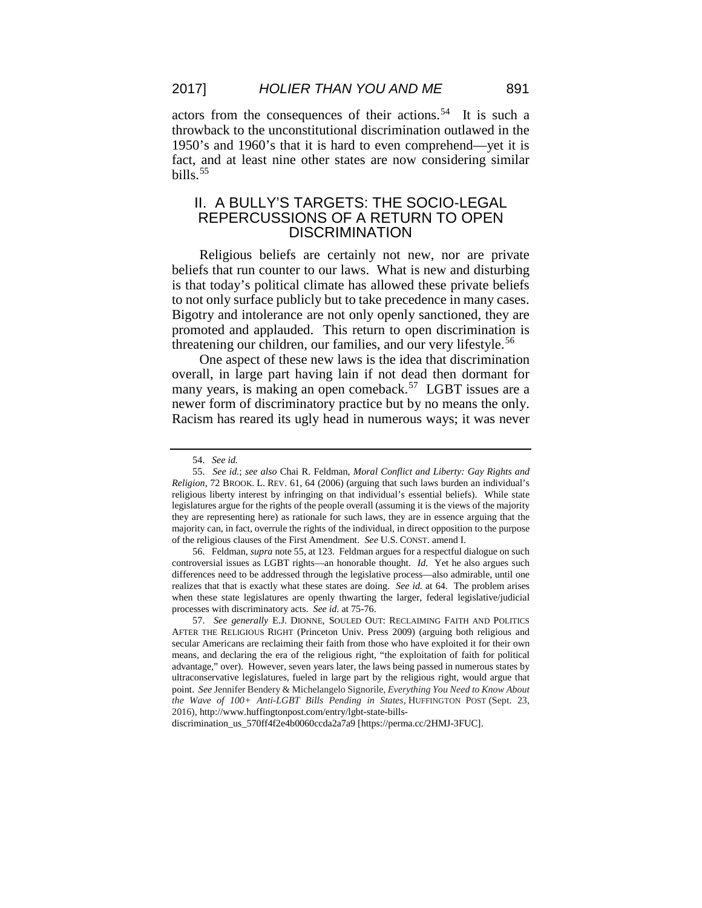actors from the consequences of their actions.<sup>54</sup> It is such a throwback to the unconstitutional discrimination outlawed in the 1950's and 1960's that it is hard to even comprehend—yet it is fact, and at least nine other states are now considering similar bills. $55$ 

## II. A BULLY'S TARGETS: THE SOCIO-LEGAL REPERCUSSIONS OF A RETURN TO OPEN **DISCRIMINATION**

Religious beliefs are certainly not new, nor are private beliefs that run counter to our laws. What is new and disturbing is that today's political climate has allowed these private beliefs to not only surface publicly but to take precedence in many cases. Bigotry and intolerance are not only openly sanctioned, they are promoted and applauded. This return to open discrimination is threatening our children, our families, and our very lifestyle.<sup>[56](#page-11-2)</sup>

One aspect of these new laws is the idea that discrimination overall, in large part having lain if not dead then dormant for many years, is making an open comeback.<sup>57</sup> LGBT issues are a newer form of discriminatory practice but by no means the only. Racism has reared its ugly head in numerous ways; it was never

<span id="page-11-2"></span>56. Feldman, *supra* note 55, at 123. Feldman argues for a respectful dialogue on such controversial issues as LGBT rights—an honorable thought. *Id.* Yet he also argues such differences need to be addressed through the legislative process—also admirable, until one realizes that that is exactly what these states are doing. *See id.* at 64. The problem arises when these state legislatures are openly thwarting the larger, federal legislative/judicial processes with discriminatory acts. *See id.* at 75-76.

discrimination\_us\_570ff4f2e4b0060ccda2a7a9 [https://perma.cc/2HMJ-3FUC].

<sup>54.</sup> *See id.*

<span id="page-11-1"></span><span id="page-11-0"></span><sup>55.</sup> *See id.*; *see also* Chai R. Feldman, *Moral Conflict and Liberty: Gay Rights and Religion*, 72 BROOK. L. REV. 61, 64 (2006) (arguing that such laws burden an individual's religious liberty interest by infringing on that individual's essential beliefs). While state legislatures argue for the rights of the people overall (assuming it is the views of the majority they are representing here) as rationale for such laws, they are in essence arguing that the majority can, in fact, overrule the rights of the individual, in direct opposition to the purpose of the religious clauses of the First Amendment. *See* U.S. CONST. amend I.

<span id="page-11-3"></span><sup>57.</sup> *See generally* E.J. DIONNE, SOULED OUT: RECLAIMING FAITH AND POLITICS AFTER THE RELIGIOUS RIGHT (Princeton Univ. Press 2009) (arguing both religious and secular Americans are reclaiming their faith from those who have exploited it for their own means, and declaring the era of the religious right, "the exploitation of faith for political advantage," over). However, seven years later, the laws being passed in numerous states by ultraconservative legislatures, fueled in large part by the religious right, would argue that point. *See* Jennifer Bendery & Michelangelo Signorile, *Everything You Need to Know About the Wave of 100+ Anti-LGBT Bills Pending in States*, HUFFINGTON POST (Sept. 23, 2016), http://www.huffingtonpost.com/entry/lgbt-state-bills-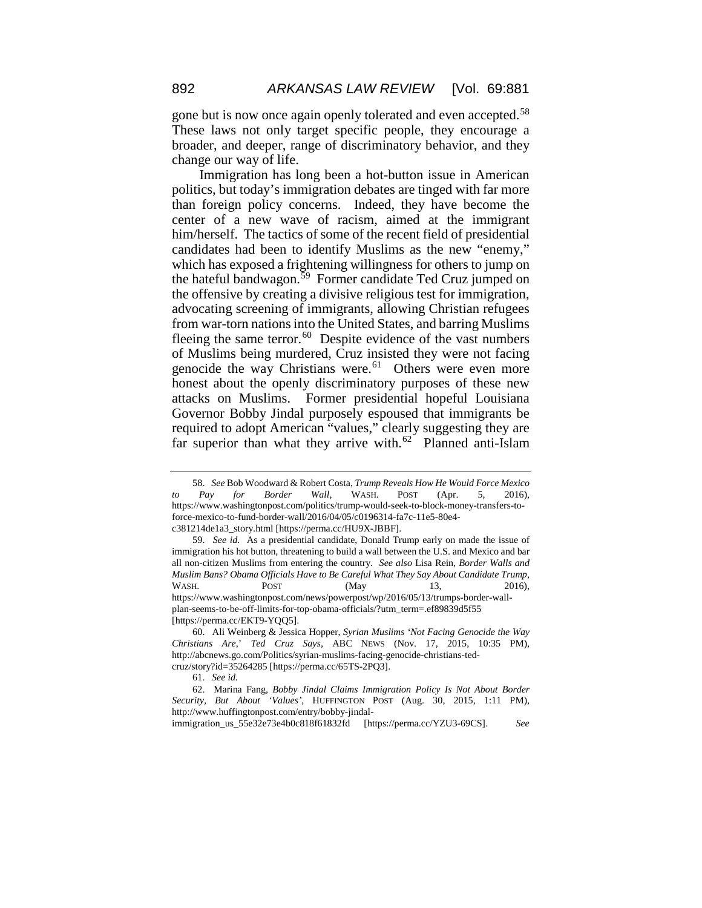gone but is now once again openly tolerated and even accepted.<sup>[58](#page-12-0)</sup> These laws not only target specific people, they encourage a broader, and deeper, range of discriminatory behavior, and they change our way of life.

Immigration has long been a hot-button issue in American politics, but today's immigration debates are tinged with far more than foreign policy concerns. Indeed, they have become the center of a new wave of racism, aimed at the immigrant him/herself. The tactics of some of the recent field of presidential candidates had been to identify Muslims as the new "enemy," which has exposed a frightening willingness for others to jump on the hateful bandwagon.[59](#page-12-1) Former candidate Ted Cruz jumped on the offensive by creating a divisive religious test for immigration, advocating screening of immigrants, allowing Christian refugees from war-torn nations into the United States, and barring Muslims fleeing the same terror. $60$  Despite evidence of the vast numbers of Muslims being murdered, Cruz insisted they were not facing genocide the way Christians were.<sup>[61](#page-12-3)</sup> Others were even more honest about the openly discriminatory purposes of these new attacks on Muslims. Former presidential hopeful Louisiana Governor Bobby Jindal purposely espoused that immigrants be required to adopt American "values," clearly suggesting they are far superior than what they arrive with. $62$  Planned anti-Islam

immigration\_us\_55e32e73e4b0c818f61832fd [https://perma.cc/YZU3-69CS]. *See* 

<span id="page-12-0"></span><sup>58.</sup> *See* Bob Woodward & Robert Costa, *Trump Reveals How He Would Force Mexico to Pay for Border Wall*, WASH. POST (Apr. 5, 2016), https://www.washingtonpost.com/politics/trump-would-seek-to-block-money-transfers-toforce-mexico-to-fund-border-wall/2016/04/05/c0196314-fa7c-11e5-80e4 c381214de1a3\_story.html [https://perma.cc/HU9X-JBBF].

<span id="page-12-1"></span><sup>59.</sup> *See id.* As a presidential candidate, Donald Trump early on made the issue of immigration his hot button, threatening to build a wall between the U.S. and Mexico and bar all non-citizen Muslims from entering the country. *See also* Lisa Rein*, Border Walls and Muslim Bans? Obama Officials Have to Be Careful What They Say About Candidate Trump*, WASH. **POST** (May 13, 2016), https://www.washingtonpost.com/news/powerpost/wp/2016/05/13/trumps-border-wallplan-seems-to-be-off-limits-for-top-obama-officials/?utm\_term=.ef89839d5f55

<sup>[</sup>https://perma.cc/EKT9-YQQ5].

<span id="page-12-2"></span><sup>60.</sup> Ali Weinberg & Jessica Hopper, *Syrian Muslims 'Not Facing Genocide the Way Christians Are*,' *Ted Cruz Says*, ABC NEWS (Nov. 17, 2015, 10:35 PM), http://abcnews.go.com/Politics/syrian-muslims-facing-genocide-christians-tedcruz/story?id=35264285 [https://perma.cc/65TS-2PQ3].

<sup>61.</sup> *See id.*

<span id="page-12-4"></span><span id="page-12-3"></span><sup>62.</sup> Marina Fang, *Bobby Jindal Claims Immigration Policy Is Not About Border Security, But About 'Values'*, HUFFINGTON POST (Aug. 30, 2015, 1:11 PM), http://www.huffingtonpost.com/entry/bobby-jindal-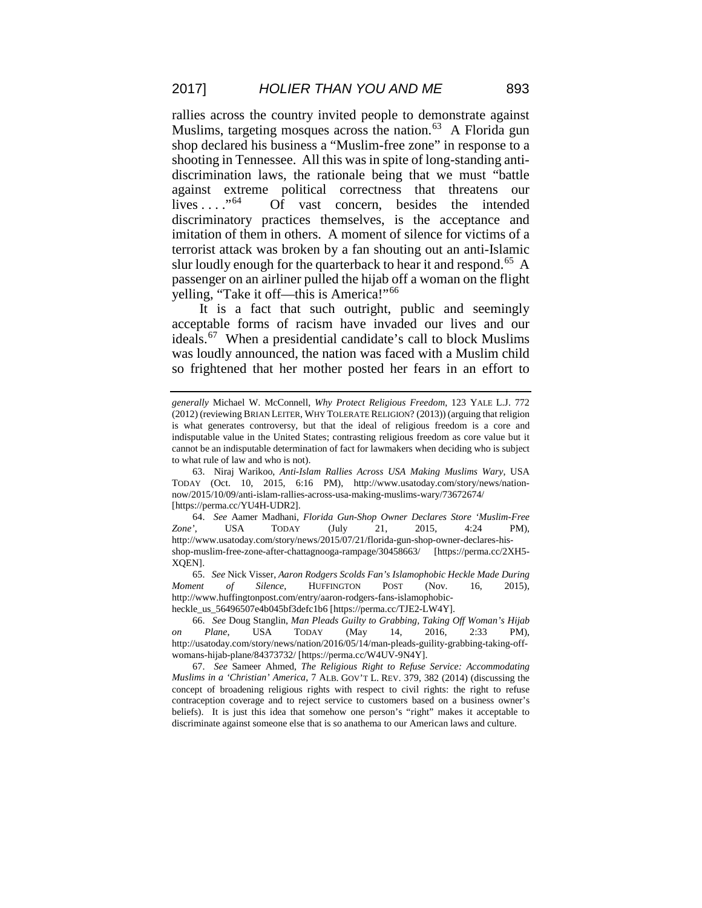rallies across the country invited people to demonstrate against Muslims, targeting mosques across the nation. $^{63}$  $^{63}$  $^{63}$  A Florida gun shop declared his business a "Muslim-free zone" in response to a shooting in Tennessee. All this was in spite of long-standing antidiscrimination laws, the rationale being that we must "battle against extreme political correctness that threatens our Of vast concern, besides the intended discriminatory practices themselves, is the acceptance and imitation of them in others. A moment of silence for victims of a terrorist attack was broken by a fan shouting out an anti-Islamic slur loudly enough for the quarterback to hear it and respond.<sup>[65](#page-13-2)</sup> A passenger on an airliner pulled the hijab off a woman on the flight yelling, "Take it off—this is America!"[66](#page-13-3)

It is a fact that such outright, public and seemingly acceptable forms of racism have invaded our lives and our ideals.[67](#page-13-4) When a presidential candidate's call to block Muslims was loudly announced, the nation was faced with a Muslim child so frightened that her mother posted her fears in an effort to

*generally* Michael W. McConnell, *Why Protect Religious Freedom*, 123 YALE L.J. 772 (2012) (reviewing BRIAN LEITER, WHY TOLERATE RELIGION? (2013)) (arguing that religion is what generates controversy, but that the ideal of religious freedom is a core and indisputable value in the United States; contrasting religious freedom as core value but it cannot be an indisputable determination of fact for lawmakers when deciding who is subject to what rule of law and who is not).

<span id="page-13-0"></span><sup>63.</sup> Niraj Warikoo, *Anti-Islam Rallies Across USA Making Muslims Wary*, USA TODAY (Oct. 10, 2015, 6:16 PM), http://www.usatoday.com/story/news/nationnow/2015/10/09/anti-islam-rallies-across-usa-making-muslims-wary/73672674/ [https://perma.cc/YU4H-UDR2].

<span id="page-13-1"></span><sup>64.</sup> *See* Aamer Madhani, *Florida Gun-Shop Owner Declares Store 'Muslim-Free Zone'*, USA TODAY (July 21, 2015, 4:24 PM), http://www.usatoday.com/story/news/2015/07/21/florida-gun-shop-owner-declares-hisshop-muslim-free-zone-after-chattagnooga-rampage/30458663/ [https://perma.cc/2XH5- XQEN].

<span id="page-13-2"></span><sup>65.</sup> *See* Nick Visser, *Aaron Rodgers Scolds Fan's Islamophobic Heckle Made During Moment of Silence*, HUFFINGTON POST (Nov. 16, 2015), http://www.huffingtonpost.com/entry/aaron-rodgers-fans-islamophobicheckle\_us\_56496507e4b045bf3defc1b6 [https://perma.cc/TJE2-LW4Y].

<sup>66.</sup> *See* Doug Stanglin, *Man Pleads Guilty to Grabbing, Taking Off Woman's Hijab* 

<span id="page-13-3"></span>*on Plane*, USA TODAY (May 14, 2016, 2:33 PM), http://usatoday.com/story/news/nation/2016/05/14/man-pleads-guility-grabbing-taking-offwomans-hijab-plane/84373732/ [https://perma.cc/W4UV-9N4Y].

<span id="page-13-4"></span><sup>67.</sup> *See* Sameer Ahmed, *The Religious Right to Refuse Service: Accommodating Muslims in a 'Christian' America*, 7 ALB. GOV'T L. REV. 379, 382 (2014) (discussing the concept of broadening religious rights with respect to civil rights: the right to refuse contraception coverage and to reject service to customers based on a business owner's beliefs). It is just this idea that somehow one person's "right" makes it acceptable to discriminate against someone else that is so anathema to our American laws and culture.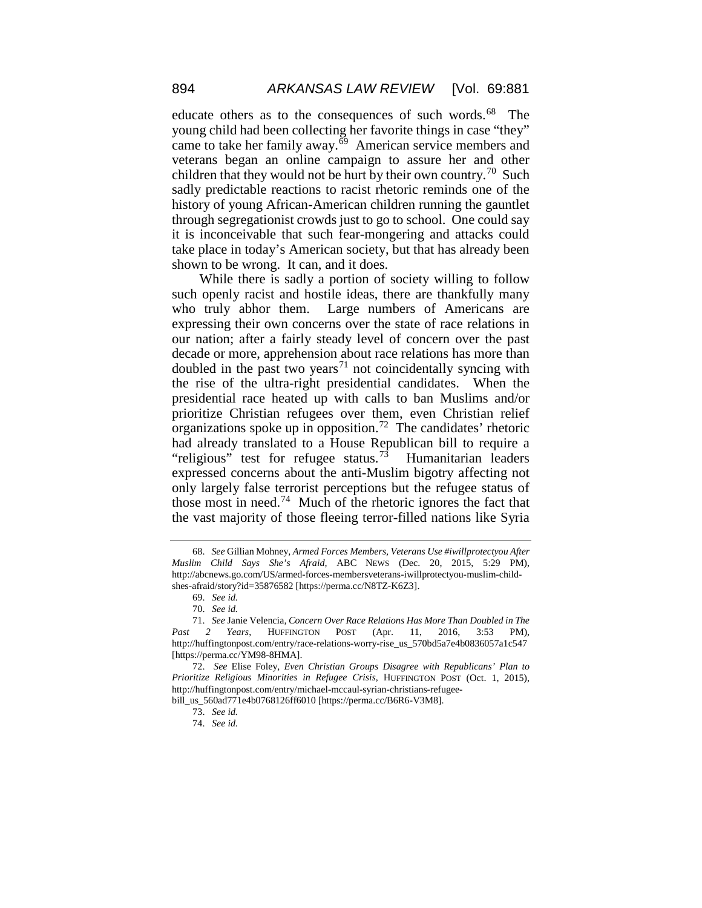educate others as to the consequences of such words.<sup>68</sup> The young child had been collecting her favorite things in case "they" came to take her family away. $\overline{69}$  American service members and veterans began an online campaign to assure her and other children that they would not be hurt by their own country.<sup>70</sup> Such sadly predictable reactions to racist rhetoric reminds one of the history of young African-American children running the gauntlet through segregationist crowds just to go to school. One could say it is inconceivable that such fear-mongering and attacks could take place in today's American society, but that has already been shown to be wrong. It can, and it does.

While there is sadly a portion of society willing to follow such openly racist and hostile ideas, there are thankfully many who truly abhor them. Large numbers of Americans are expressing their own concerns over the state of race relations in our nation; after a fairly steady level of concern over the past decade or more, apprehension about race relations has more than doubled in the past two years<sup>[71](#page-14-3)</sup> not coincidentally syncing with the rise of the ultra-right presidential candidates. When the presidential race heated up with calls to ban Muslims and/or prioritize Christian refugees over them, even Christian relief organizations spoke up in opposition.<sup>[72](#page-14-4)</sup> The candidates' rhetoric had already translated to a House Republican bill to require a "religious" test for refugee status.<sup>[73](#page-14-5)</sup> Humanitarian leaders expressed concerns about the anti-Muslim bigotry affecting not only largely false terrorist perceptions but the refugee status of those most in need.<sup>[74](#page-14-6)</sup> Much of the rhetoric ignores the fact that the vast majority of those fleeing terror-filled nations like Syria

<span id="page-14-0"></span><sup>68.</sup> *See* Gillian Mohney, *Armed Forces Members, Veterans Use #iwillprotectyou After Muslim Child Says She's Afraid,* ABC NEWS (Dec. 20, 2015, 5:29 PM), http://abcnews.go.com/US/armed-forces-membersveterans-iwillprotectyou-muslim-childshes-afraid/story?id=35876582 [https://perma.cc/N8TZ-K6Z3].

<sup>69.</sup> *See id.*

<sup>70.</sup> *See id.*

<span id="page-14-3"></span><span id="page-14-2"></span><span id="page-14-1"></span><sup>71.</sup> *See* Janie Velencia, *Concern Over Race Relations Has More Than Doubled in The Past 2 Years*, HUFFINGTON POST (Apr. 11, 2016, 3:53 PM), http://huffingtonpost.com/entry/race-relations-worry-rise\_us\_570bd5a7e4b0836057a1c547 [https://perma.cc/YM98-8HMA].

<span id="page-14-4"></span><sup>72.</sup> *See* Elise Foley, *Even Christian Groups Disagree with Republicans' Plan to Prioritize Religious Minorities in Refugee Crisis*, HUFFINGTON POST (Oct. 1, 2015), http://huffingtonpost.com/entry/michael-mccaul-syrian-christians-refugee-

<span id="page-14-6"></span><span id="page-14-5"></span>bill\_us\_560ad771e4b0768126ff6010 [https://perma.cc/B6R6-V3M8].

<sup>73.</sup> *See id.*

<sup>74.</sup> *See id.*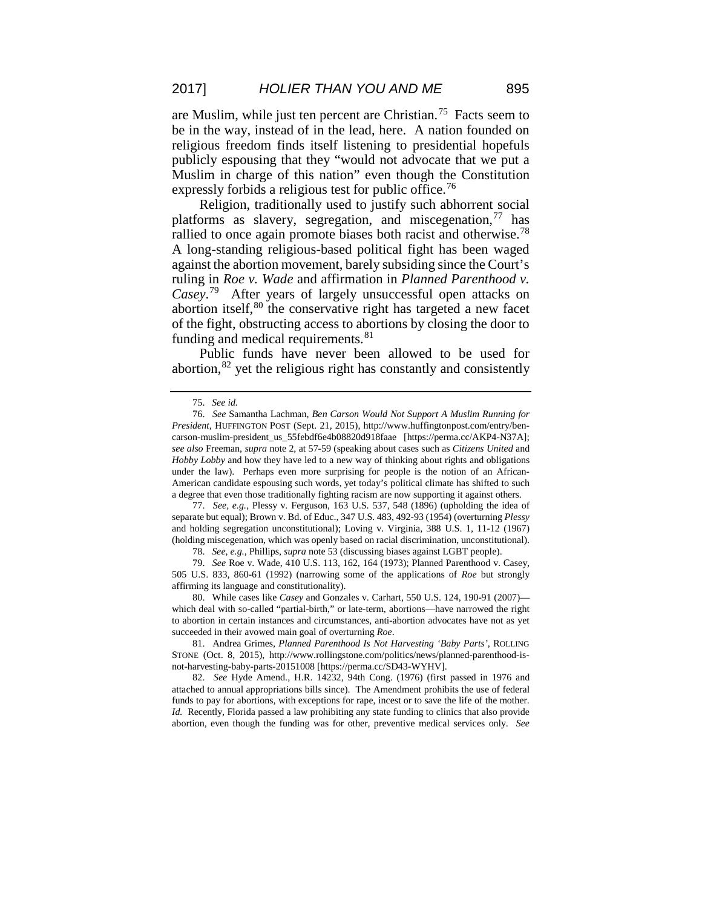are Muslim, while just ten percent are Christian.[75](#page-15-0) Facts seem to be in the way, instead of in the lead, here. A nation founded on religious freedom finds itself listening to presidential hopefuls publicly espousing that they "would not advocate that we put a Muslim in charge of this nation" even though the Constitution expressly forbids a religious test for public office.<sup>[76](#page-15-1)</sup>

Religion, traditionally used to justify such abhorrent social platforms as slavery, segregation, and miscegenation,  $77$  has rallied to once again promote biases both racist and otherwise.<sup>[78](#page-15-3)</sup> A long-standing religious-based political fight has been waged against the abortion movement, barely subsiding since the Court's ruling in *Roe v. Wade* and affirmation in *Planned Parenthood v. Casey*. [79](#page-15-4) After years of largely unsuccessful open attacks on abortion itself,  $80$  the conservative right has targeted a new facet of the fight, obstructing access to abortions by closing the door to funding and medical requirements.<sup>[81](#page-15-6)</sup>

Public funds have never been allowed to be used for abortion,  $82$  yet the religious right has constantly and consistently

<span id="page-15-2"></span>77. *See, e.g.*, Plessy v. Ferguson, 163 U.S. 537, 548 (1896) (upholding the idea of separate but equal); Brown v. Bd. of Educ., 347 U.S. 483, 492-93 (1954) (overturning *Plessy* and holding segregation unconstitutional); Loving v. Virginia, 388 U.S. 1, 11-12 (1967) (holding miscegenation, which was openly based on racial discrimination, unconstitutional).

78. *See, e.g.*, Phillips, *supra* note 53 (discussing biases against LGBT people).

<span id="page-15-4"></span><span id="page-15-3"></span>79. *See* Roe v. Wade, 410 U.S. 113, 162, 164 (1973); Planned Parenthood v. Casey, 505 U.S. 833, 860-61 (1992) (narrowing some of the applications of *Roe* but strongly affirming its language and constitutionality).

<span id="page-15-5"></span>80. While cases like *Casey* and Gonzales v. Carhart, 550 U.S. 124, 190-91 (2007) which deal with so-called "partial-birth," or late-term, abortions—have narrowed the right to abortion in certain instances and circumstances, anti-abortion advocates have not as yet succeeded in their avowed main goal of overturning *Roe*.

<span id="page-15-6"></span>81. Andrea Grimes, *Planned Parenthood Is Not Harvesting 'Baby Parts'*, ROLLING STONE (Oct. 8, 2015), http://www.rollingstone.com/politics/news/planned-parenthood-isnot-harvesting-baby-parts-20151008 [https://perma.cc/SD43-WYHV].

<span id="page-15-7"></span>82. *See* Hyde Amend., H.R. 14232, 94th Cong. (1976) (first passed in 1976 and attached to annual appropriations bills since). The Amendment prohibits the use of federal funds to pay for abortions, with exceptions for rape, incest or to save the life of the mother. *Id.* Recently, Florida passed a law prohibiting any state funding to clinics that also provide abortion, even though the funding was for other, preventive medical services only. *See* 

<sup>75.</sup> *See id.*

<span id="page-15-1"></span><span id="page-15-0"></span><sup>76.</sup> *See* Samantha Lachman, *Ben Carson Would Not Support A Muslim Running for President*, HUFFINGTON POST (Sept. 21, 2015), http://www.huffingtonpost.com/entry/bencarson-muslim-president\_us\_55febdf6e4b08820d918faae [https://perma.cc/AKP4-N37A]; *see also* Freeman, *supra* note 2, at 57-59 (speaking about cases such as *Citizens United* and *Hobby Lobby* and how they have led to a new way of thinking about rights and obligations under the law). Perhaps even more surprising for people is the notion of an African-American candidate espousing such words, yet today's political climate has shifted to such a degree that even those traditionally fighting racism are now supporting it against others.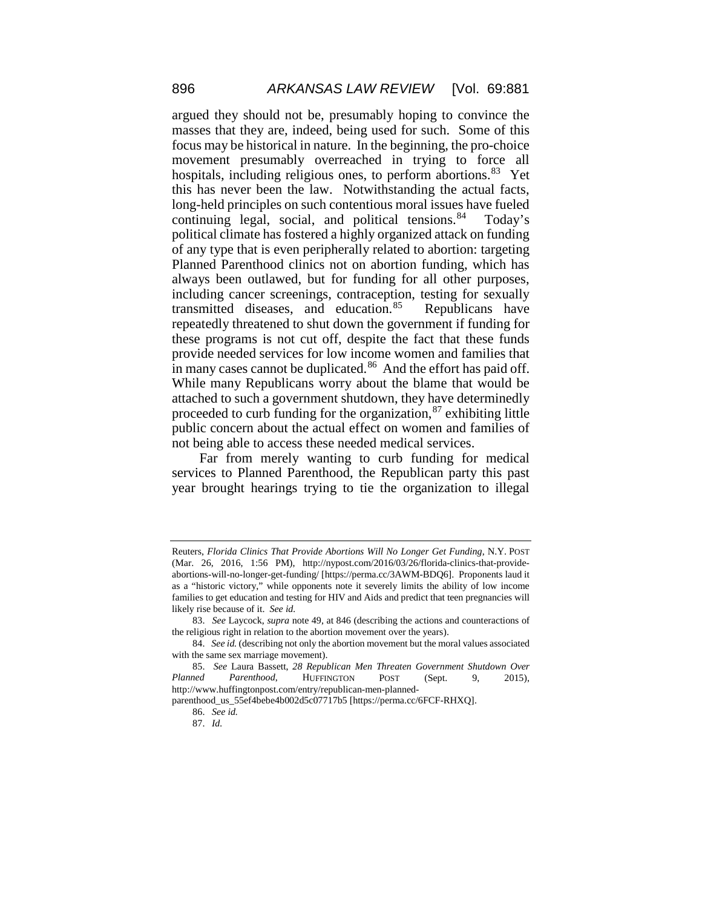argued they should not be, presumably hoping to convince the masses that they are, indeed, being used for such. Some of this focus may be historical in nature. In the beginning, the pro-choice movement presumably overreached in trying to force all hospitals, including religious ones, to perform abortions.<sup>83</sup> Yet this has never been the law. Notwithstanding the actual facts, long-held principles on such contentious moral issues have fueled continuing legal, social, and political tensions.<sup>84</sup> Today's political climate has fostered a highly organized attack on funding of any type that is even peripherally related to abortion: targeting Planned Parenthood clinics not on abortion funding, which has always been outlawed, but for funding for all other purposes, including cancer screenings, contraception, testing for sexually transmitted diseases, and education.<sup>[85](#page-16-2)</sup> Republicans have repeatedly threatened to shut down the government if funding for these programs is not cut off, despite the fact that these funds provide needed services for low income women and families that in many cases cannot be duplicated.<sup>86</sup> And the effort has paid off. While many Republicans worry about the blame that would be attached to such a government shutdown, they have determinedly proceeded to curb funding for the organization, <sup>[87](#page-16-4)</sup> exhibiting little public concern about the actual effect on women and families of not being able to access these needed medical services.

Far from merely wanting to curb funding for medical services to Planned Parenthood, the Republican party this past year brought hearings trying to tie the organization to illegal

Reuters, *Florida Clinics That Provide Abortions Will No Longer Get Funding*, N.Y. POST (Mar. 26, 2016, 1:56 PM), http://nypost.com/2016/03/26/florida-clinics-that-provideabortions-will-no-longer-get-funding/ [https://perma.cc/3AWM-BDQ6]. Proponents laud it as a "historic victory," while opponents note it severely limits the ability of low income families to get education and testing for HIV and Aids and predict that teen pregnancies will likely rise because of it. *See id.*

<span id="page-16-0"></span><sup>83.</sup> *See* Laycock, *supra* note 49, at 846 (describing the actions and counteractions of the religious right in relation to the abortion movement over the years).

<span id="page-16-1"></span><sup>84.</sup> *See id.* (describing not only the abortion movement but the moral values associated with the same sex marriage movement).

<span id="page-16-2"></span><sup>85.</sup> *See* Laura Bassett, *28 Republican Men Threaten Government Shutdown Over Planned Parenthood*, HUFFINGTON POST (Sept. 9, 2015), http://www.huffingtonpost.com/entry/republican-men-planned-

<span id="page-16-4"></span><span id="page-16-3"></span>parenthood\_us\_55ef4bebe4b002d5c07717b5 [https://perma.cc/6FCF-RHXQ].

<sup>86.</sup> *See id.*

<sup>87.</sup> *Id.*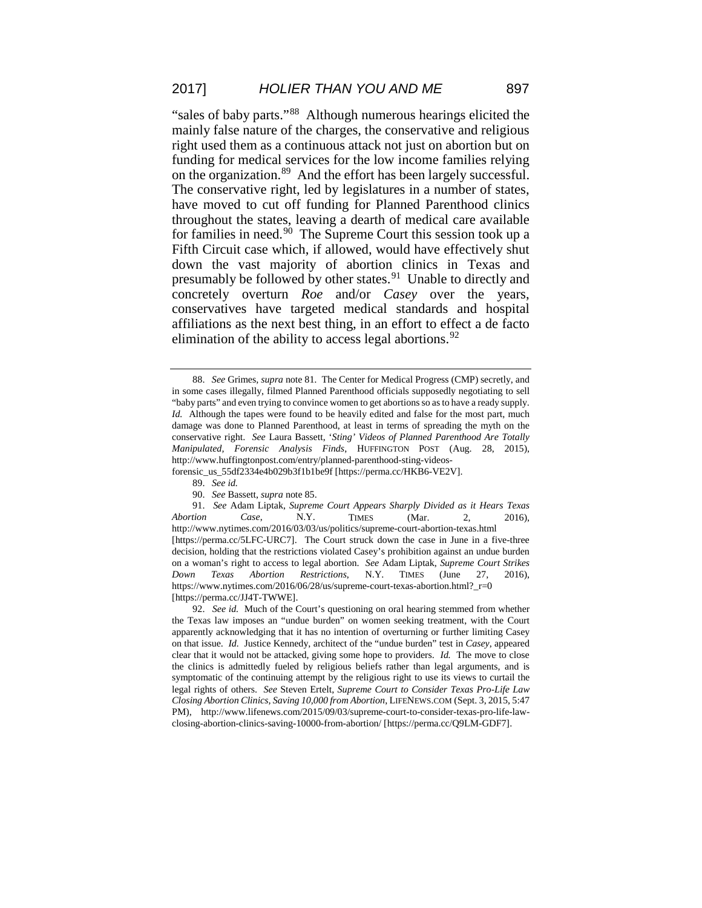"sales of baby parts."[88](#page-17-0) Although numerous hearings elicited the mainly false nature of the charges, the conservative and religious right used them as a continuous attack not just on abortion but on funding for medical services for the low income families relying on the organization.[89](#page-17-1) And the effort has been largely successful. The conservative right, led by legislatures in a number of states, have moved to cut off funding for Planned Parenthood clinics throughout the states, leaving a dearth of medical care available for families in need.[90](#page-17-2) The Supreme Court this session took up a Fifth Circuit case which, if allowed, would have effectively shut down the vast majority of abortion clinics in Texas and presumably be followed by other states.<sup>91</sup> Unable to directly and concretely overturn *Roe* and/or *Casey* over the years, conservatives have targeted medical standards and hospital affiliations as the next best thing, in an effort to effect a de facto elimination of the ability to access legal abortions.<sup>[92](#page-17-4)</sup>

<span id="page-17-1"></span>forensic\_us\_55df2334e4b029b3f1b1be9f [https://perma.cc/HKB6-VE2V].

90. *See* Bassett, *supra* note 85.

<span id="page-17-3"></span><span id="page-17-2"></span>91. *See* Adam Liptak, *Supreme Court Appears Sharply Divided as it Hears Texas Abortion Case*, N.Y. TIMES (Mar. 2, 2016), http://www.nytimes.com/2016/03/03/us/politics/supreme-court-abortion-texas.html [https://perma.cc/5LFC-URC7]. The Court struck down the case in June in a five-three decision, holding that the restrictions violated Casey's prohibition against an undue burden on a woman's right to access to legal abortion. *See* Adam Liptak, *Supreme Court Strikes Down Texas Abortion Restrictions*, N.Y. TIMES (June 27, 2016), https://www.nytimes.com/2016/06/28/us/supreme-court-texas-abortion.html?\_r=0 [https://perma.cc/JJ4T-TWWE].

<span id="page-17-4"></span>92. *See id.* Much of the Court's questioning on oral hearing stemmed from whether the Texas law imposes an "undue burden" on women seeking treatment, with the Court apparently acknowledging that it has no intention of overturning or further limiting Casey on that issue. *Id.* Justice Kennedy, architect of the "undue burden" test in *Casey*, appeared clear that it would not be attacked, giving some hope to providers. *Id.* The move to close the clinics is admittedly fueled by religious beliefs rather than legal arguments, and is symptomatic of the continuing attempt by the religious right to use its views to curtail the legal rights of others. *See* Steven Ertelt, *Supreme Court to Consider Texas Pro-Life Law Closing Abortion Clinics, Saving 10,000 from Abortion*, LIFENEWS.COM (Sept. 3, 2015, 5:47 PM), http://www.lifenews.com/2015/09/03/supreme-court-to-consider-texas-pro-life-lawclosing-abortion-clinics-saving-10000-from-abortion/ [https://perma.cc/Q9LM-GDF7].

<span id="page-17-0"></span><sup>88.</sup> *See* Grimes*, supra* note 81*.* The Center for Medical Progress (CMP) secretly, and in some cases illegally, filmed Planned Parenthood officials supposedly negotiating to sell "baby parts" and even trying to convince women to get abortions so as to have a ready supply. *Id.* Although the tapes were found to be heavily edited and false for the most part, much damage was done to Planned Parenthood, at least in terms of spreading the myth on the conservative right. *See* Laura Bassett, '*Sting' Videos of Planned Parenthood Are Totally Manipulated, Forensic Analysis Finds*, HUFFINGTON POST (Aug. 28, 2015), http://www.huffingtonpost.com/entry/planned-parenthood-sting-videos-

<sup>89.</sup> *See id.*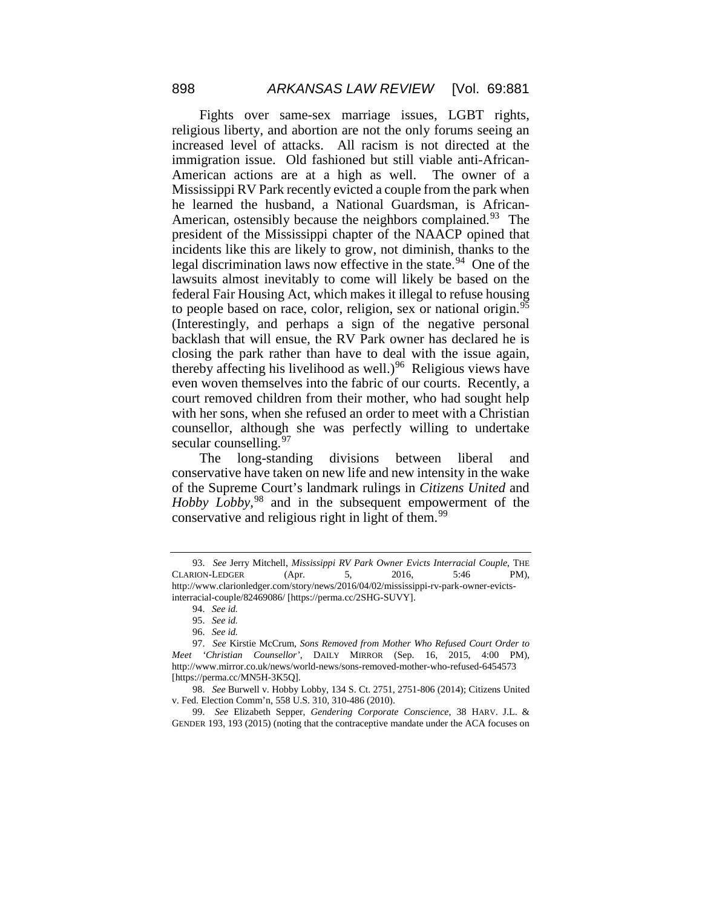Fights over same-sex marriage issues, LGBT rights, religious liberty, and abortion are not the only forums seeing an increased level of attacks. All racism is not directed at the immigration issue. Old fashioned but still viable anti-African-American actions are at a high as well. The owner of a Mississippi RV Park recently evicted a couple from the park when he learned the husband, a National Guardsman, is African-American, ostensibly because the neighbors complained.<sup>93</sup> The president of the Mississippi chapter of the NAACP opined that incidents like this are likely to grow, not diminish, thanks to the legal discrimination laws now effective in the state.<sup>94</sup> One of the lawsuits almost inevitably to come will likely be based on the federal Fair Housing Act, which makes it illegal to refuse housing to people based on race, color, religion, sex or national origin. $95$ (Interestingly, and perhaps a sign of the negative personal backlash that will ensue, the RV Park owner has declared he is closing the park rather than have to deal with the issue again, thereby affecting his livelihood as well.)<sup>[96](#page-18-3)</sup> Religious views have even woven themselves into the fabric of our courts. Recently, a court removed children from their mother, who had sought help with her sons, when she refused an order to meet with a Christian counsellor, although she was perfectly willing to undertake secular counselling.  $97$ 

The long-standing divisions between liberal and conservative have taken on new life and new intensity in the wake of the Supreme Court's landmark rulings in *Citizens United* and *Hobby Lobby,*[98](#page-18-5) and in the subsequent empowerment of the conservative and religious right in light of them.<sup>[99](#page-18-6)</sup>

<span id="page-18-0"></span><sup>93.</sup> *See* Jerry Mitchell, *Mississippi RV Park Owner Evicts Interracial Couple*, THE CLARION-LEDGER (Apr. 5, 2016, 5:46 PM), http://www.clarionledger.com/story/news/2016/04/02/mississippi-rv-park-owner-evictsinterracial-couple/82469086/ [https://perma.cc/2SHG-SUVY].

<sup>94.</sup> *See id.*

<sup>95.</sup> *See id.*

<sup>96.</sup> *See id.*

<span id="page-18-4"></span><span id="page-18-3"></span><span id="page-18-2"></span><span id="page-18-1"></span><sup>97.</sup> *See* Kirstie McCrum, *Sons Removed from Mother Who Refused Court Order to Meet 'Christian Counsellor'*, DAILY MIRROR (Sep. 16, 2015, 4:00 PM), http://www.mirror.co.uk/news/world-news/sons-removed-mother-who-refused-6454573 [https://perma.cc/MN5H-3K5Q].

<span id="page-18-5"></span><sup>98.</sup> *See* Burwell v. Hobby Lobby, 134 S. Ct. 2751, 2751-806 (2014); Citizens United v. Fed. Election Comm'n, 558 U.S. 310, 310-486 (2010).

<span id="page-18-6"></span><sup>99.</sup> *See* Elizabeth Sepper, *Gendering Corporate Conscience*, 38 HARV. J.L. & GENDER 193, 193 (2015) (noting that the contraceptive mandate under the ACA focuses on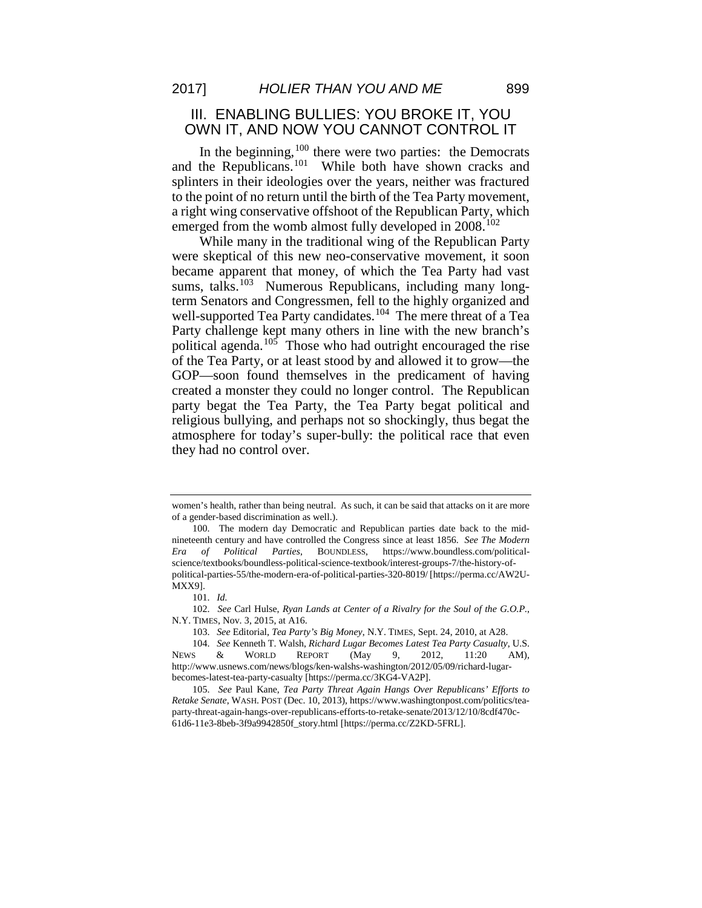## III. ENABLING BULLIES: YOU BROKE IT, YOU OWN IT, AND NOW YOU CANNOT CONTROL IT

In the beginning,  $100$  there were two parties: the Democrats and the Republicans.<sup>101</sup> While both have shown cracks and splinters in their ideologies over the years, neither was fractured to the point of no return until the birth of the Tea Party movement, a right wing conservative offshoot of the Republican Party, which emerged from the womb almost fully developed in 2008.<sup>[102](#page-19-2)</sup>

While many in the traditional wing of the Republican Party were skeptical of this new neo-conservative movement, it soon became apparent that money, of which the Tea Party had vast sums, talks.<sup>[103](#page-19-3)</sup> Numerous Republicans, including many longterm Senators and Congressmen, fell to the highly organized and well-supported Tea Party candidates.<sup>104</sup> The mere threat of a Tea Party challenge kept many others in line with the new branch's political agenda.<sup>[105](#page-19-5)</sup> Those who had outright encouraged the rise of the Tea Party, or at least stood by and allowed it to grow—the GOP—soon found themselves in the predicament of having created a monster they could no longer control. The Republican party begat the Tea Party, the Tea Party begat political and religious bullying, and perhaps not so shockingly, thus begat the atmosphere for today's super-bully: the political race that even they had no control over.

women's health, rather than being neutral. As such, it can be said that attacks on it are more of a gender-based discrimination as well.).

<span id="page-19-0"></span><sup>100.</sup> The modern day Democratic and Republican parties date back to the midnineteenth century and have controlled the Congress since at least 1856. *See The Modern Era of Political Parties*, BOUNDLESS, https://www.boundless.com/politicalscience/textbooks/boundless-political-science-textbook/interest-groups-7/the-history-ofpolitical-parties-55/the-modern-era-of-political-parties-320-8019/ [https://perma.cc/AW2U-MXX9].

<sup>101.</sup> *Id.*

<span id="page-19-2"></span><span id="page-19-1"></span><sup>102.</sup> *See* Carl Hulse, *Ryan Lands at Center of a Rivalry for the Soul of the G.O.P.*, N.Y. TIMES, Nov. 3, 2015, at A16.

<sup>103.</sup> *See* Editorial, *Tea Party's Big Money*, N.Y. TIMES, Sept. 24, 2010, at A28.

<span id="page-19-4"></span><span id="page-19-3"></span><sup>104.</sup> *See* Kenneth T. Walsh, *Richard Lugar Becomes Latest Tea Party Casualty*, U.S. NEWS & WORLD REPORT (May 9, 2012, 11:20 AM), http://www.usnews.com/news/blogs/ken-walshs-washington/2012/05/09/richard-lugarbecomes-latest-tea-party-casualty [https://perma.cc/3KG4-VA2P].

<span id="page-19-5"></span><sup>105.</sup> *See* Paul Kane, *Tea Party Threat Again Hangs Over Republicans' Efforts to Retake Senate*, WASH. POST (Dec. 10, 2013), https://www.washingtonpost.com/politics/teaparty-threat-again-hangs-over-republicans-efforts-to-retake-senate/2013/12/10/8cdf470c-61d6-11e3-8beb-3f9a9942850f\_story.html [https://perma.cc/Z2KD-5FRL].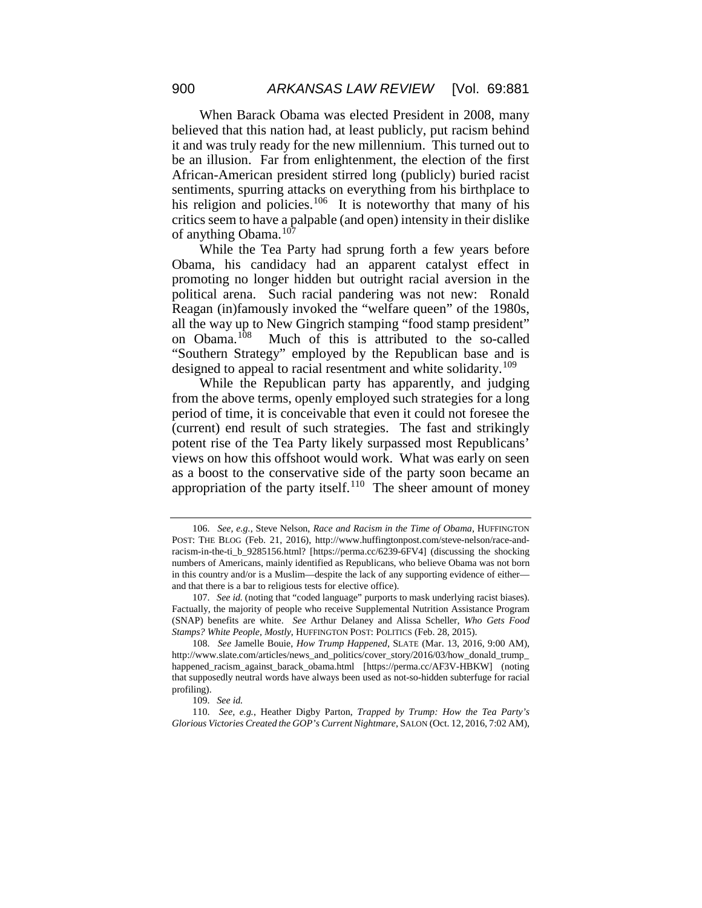When Barack Obama was elected President in 2008, many believed that this nation had, at least publicly, put racism behind it and was truly ready for the new millennium. This turned out to be an illusion. Far from enlightenment, the election of the first African-American president stirred long (publicly) buried racist sentiments, spurring attacks on everything from his birthplace to his religion and policies.<sup>106</sup> It is noteworthy that many of his critics seem to have a palpable (and open) intensity in their dislike of anything Obama.<sup>[107](#page-20-1)</sup>

While the Tea Party had sprung forth a few years before Obama, his candidacy had an apparent catalyst effect in promoting no longer hidden but outright racial aversion in the political arena. Such racial pandering was not new: Ronald Reagan (in)famously invoked the "welfare queen" of the 1980s, all the way up to New Gingrich stamping "food stamp president" on Obama. $108$  Much of this is attributed to the so-called Much of this is attributed to the so-called "Southern Strategy" employed by the Republican base and is designed to appeal to racial resentment and white solidarity.<sup>[109](#page-20-3)</sup>

While the Republican party has apparently, and judging from the above terms, openly employed such strategies for a long period of time, it is conceivable that even it could not foresee the (current) end result of such strategies. The fast and strikingly potent rise of the Tea Party likely surpassed most Republicans' views on how this offshoot would work. What was early on seen as a boost to the conservative side of the party soon became an appropriation of the party itself.<sup>[110](#page-20-4)</sup> The sheer amount of money

<span id="page-20-0"></span><sup>106.</sup> *See, e.g.*, Steve Nelson, *Race and Racism in the Time of Obama*, HUFFINGTON POST: THE BLOG (Feb. 21, 2016), http://www.huffingtonpost.com/steve-nelson/race-andracism-in-the-ti\_b\_9285156.html? [https://perma.cc/6239-6FV4] (discussing the shocking numbers of Americans, mainly identified as Republicans, who believe Obama was not born in this country and/or is a Muslim—despite the lack of any supporting evidence of either and that there is a bar to religious tests for elective office).

<span id="page-20-1"></span><sup>107.</sup> *See id.* (noting that "coded language" purports to mask underlying racist biases). Factually, the majority of people who receive Supplemental Nutrition Assistance Program (SNAP) benefits are white. *See* Arthur Delaney and Alissa Scheller, *Who Gets Food Stamps? White People, Mostly*, HUFFINGTON POST: POLITICS (Feb. 28, 2015).

<span id="page-20-2"></span><sup>108.</sup> *See* Jamelle Bouie, *How Trump Happened*, SLATE (Mar. 13, 2016, 9:00 AM), http://www.slate.com/articles/news\_and\_politics/cover\_story/2016/03/how\_donald\_trump\_ happened\_racism\_against\_barack\_obama.html [https://perma.cc/AF3V-HBKW] (noting that supposedly neutral words have always been used as not-so-hidden subterfuge for racial profiling).

<sup>109.</sup> *See id.*

<span id="page-20-4"></span><span id="page-20-3"></span><sup>110.</sup> *See, e.g.*, Heather Digby Parton, *Trapped by Trump: How the Tea Party's Glorious Victories Created the GOP's Current Nightmare*, SALON (Oct. 12, 2016, 7:02 AM),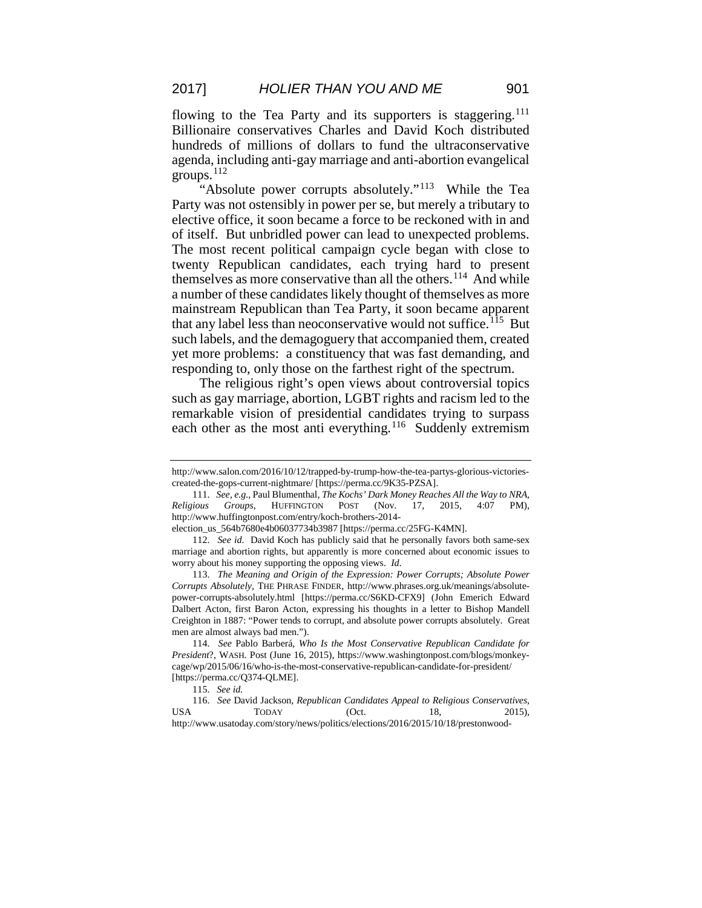flowing to the Tea Party and its supporters is staggering.<sup>[111](#page-21-0)</sup> Billionaire conservatives Charles and David Koch distributed hundreds of millions of dollars to fund the ultraconservative agenda, including anti-gay marriage and anti-abortion evangelical groups.[112](#page-21-1)

'Absolute power corrupts absolutely."<sup>113</sup> While the Tea Party was not ostensibly in power per se, but merely a tributary to elective office, it soon became a force to be reckoned with in and of itself. But unbridled power can lead to unexpected problems. The most recent political campaign cycle began with close to twenty Republican candidates, each trying hard to present themselves as more conservative than all the others.<sup>114</sup> And while a number of these candidates likely thought of themselves as more mainstream Republican than Tea Party, it soon became apparent that any label less than neoconservative would not suffice.<sup>115</sup> But such labels, and the demagoguery that accompanied them, created yet more problems: a constituency that was fast demanding, and responding to, only those on the farthest right of the spectrum.

The religious right's open views about controversial topics such as gay marriage, abortion, LGBT rights and racism led to the remarkable vision of presidential candidates trying to surpass each other as the most anti everything.<sup>[116](#page-21-5)</sup> Suddenly extremism

http://www.salon.com/2016/10/12/trapped-by-trump-how-the-tea-partys-glorious-victoriescreated-the-gops-current-nightmare/ [https://perma.cc/9K35-PZSA].

<span id="page-21-0"></span><sup>111.</sup> *See, e.g.*, Paul Blumenthal, *The Kochs' Dark Money Reaches All the Way to NRA, Religious Groups*, HUFFINGTON POST (Nov. 17, 2015, 4:07 PM), http://www.huffingtonpost.com/entry/koch-brothers-2014-

election\_us\_564b7680e4b06037734b3987 [https://perma.cc/25FG-K4MN].

<span id="page-21-1"></span><sup>112.</sup> *See id.* David Koch has publicly said that he personally favors both same-sex marriage and abortion rights, but apparently is more concerned about economic issues to worry about his money supporting the opposing views. *Id*.

<span id="page-21-2"></span><sup>113.</sup> *The Meaning and Origin of the Expression: Power Corrupts; Absolute Power Corrupts Absolutely*, THE PHRASE FINDER, http://www.phrases.org.uk/meanings/absolutepower-corrupts-absolutely.html [https://perma.cc/S6KD-CFX9] (John Emerich Edward Dalbert Acton, first Baron Acton, expressing his thoughts in a letter to Bishop Mandell Creighton in 1887: "Power tends to corrupt, and absolute power corrupts absolutely. Great men are almost always bad men.").

<span id="page-21-3"></span><sup>114.</sup> *See* Pablo Barberá, *Who Is the Most Conservative Republican Candidate for President*?, WASH. Post (June 16, 2015), https://www.washingtonpost.com/blogs/monkeycage/wp/2015/06/16/who-is-the-most-conservative-republican-candidate-for-president/ [https://perma.cc/Q374-QLME].

<sup>115.</sup> *See id.*

<span id="page-21-5"></span><span id="page-21-4"></span><sup>116.</sup> *See* David Jackson, *Republican Candidates Appeal to Religious Conservatives*, USA  $\qquad \qquad \text{TOPAY}$  (Oct. 18, 2015), http://www.usatoday.com/story/news/politics/elections/2016/2015/10/18/prestonwood-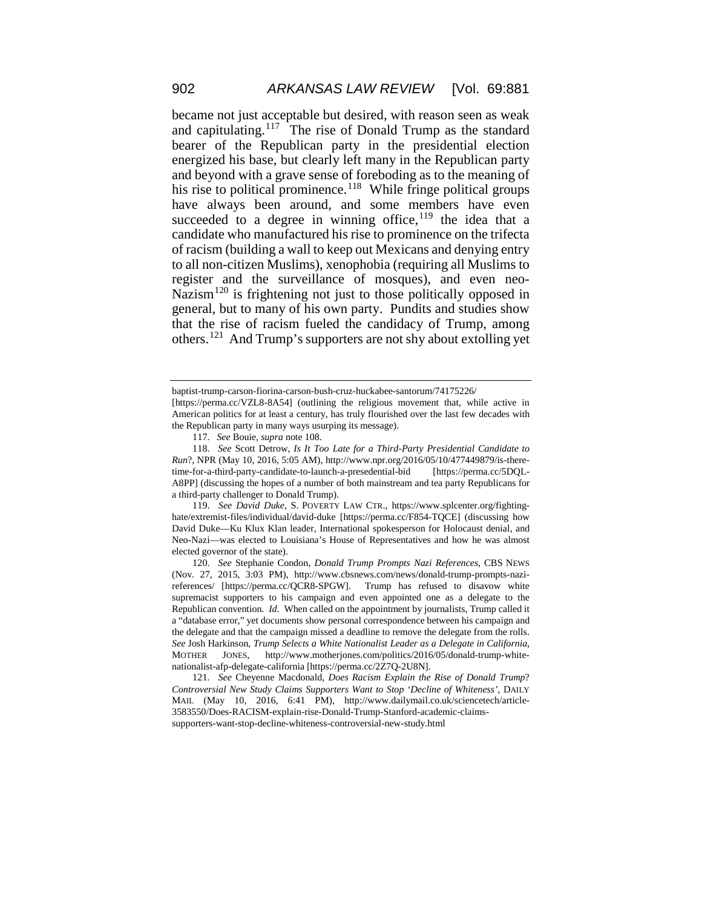became not just acceptable but desired, with reason seen as weak and capitulating.<sup>[117](#page-22-0)</sup> The rise of Donald Trump as the standard bearer of the Republican party in the presidential election energized his base, but clearly left many in the Republican party and beyond with a grave sense of foreboding as to the meaning of his rise to political prominence.<sup>118</sup> While fringe political groups have always been around, and some members have even succeeded to a degree in winning office,  $119$  the idea that a candidate who manufactured his rise to prominence on the trifecta of racism (building a wall to keep out Mexicans and denying entry to all non-citizen Muslims), xenophobia (requiring all Muslims to register and the surveillance of mosques), and even neo-Nazism<sup>[120](#page-22-3)</sup> is frightening not just to those politically opposed in general, but to many of his own party. Pundits and studies show that the rise of racism fueled the candidacy of Trump, among others.[121](#page-22-4) And Trump's supporters are not shy about extolling yet

<span id="page-22-2"></span>119. *See David Duke*, S. POVERTY LAW CTR., https://www.splcenter.org/fightinghate/extremist-files/individual/david-duke [https://perma.cc/F854-TQCE] (discussing how David Duke—Ku Klux Klan leader, International spokesperson for Holocaust denial, and Neo-Nazi—was elected to Louisiana's House of Representatives and how he was almost elected governor of the state).

<span id="page-22-3"></span>120. *See* Stephanie Condon, *Donald Trump Prompts Nazi References*, CBS NEWS (Nov. 27, 2015, 3:03 PM), http://www.cbsnews.com/news/donald-trump-prompts-nazireferences/ [https://perma.cc/QCR8-SPGW]. Trump has refused to disavow white supremacist supporters to his campaign and even appointed one as a delegate to the Republican convention. *Id.* When called on the appointment by journalists, Trump called it a "database error," yet documents show personal correspondence between his campaign and the delegate and that the campaign missed a deadline to remove the delegate from the rolls. *See* Josh Harkinson, *Trump Selects a White Nationalist Leader as a Delegate in California*, JONES, http://www.motherjones.com/politics/2016/05/donald-trump-whitenationalist-afp-delegate-california [https://perma.cc/2Z7Q-2U8N].

<span id="page-22-4"></span>121. *See* Cheyenne Macdonald, *Does Racism Explain the Rise of Donald Trump*? *Controversial New Study Claims Supporters Want to Stop 'Decline of Whiteness'*, DAILY MAIL (May 10, 2016, 6:41 PM), http://www.dailymail.co.uk/sciencetech/article-3583550/Does-RACISM-explain-rise-Donald-Trump-Stanford-academic-claimssupporters-want-stop-decline-whiteness-controversial-new-study.html

baptist-trump-carson-fiorina-carson-bush-cruz-huckabee-santorum/74175226/

<span id="page-22-0"></span><sup>[</sup>https://perma.cc/VZL8-8A54] (outlining the religious movement that, while active in American politics for at least a century, has truly flourished over the last few decades with the Republican party in many ways usurping its message).

<sup>117.</sup> *See* Bouie, *supra* note 108.

<span id="page-22-1"></span><sup>118.</sup> *See* Scott Detrow, *Is It Too Late for a Third-Party Presidential Candidate to Run*?, NPR (May 10, 2016, 5:05 AM), http://www.npr.org/2016/05/10/477449879/is-theretime-for-a-third-party-candidate-to-launch-a-presedential-bid [https://perma.cc/5DQL-A8PP] (discussing the hopes of a number of both mainstream and tea party Republicans for a third-party challenger to Donald Trump).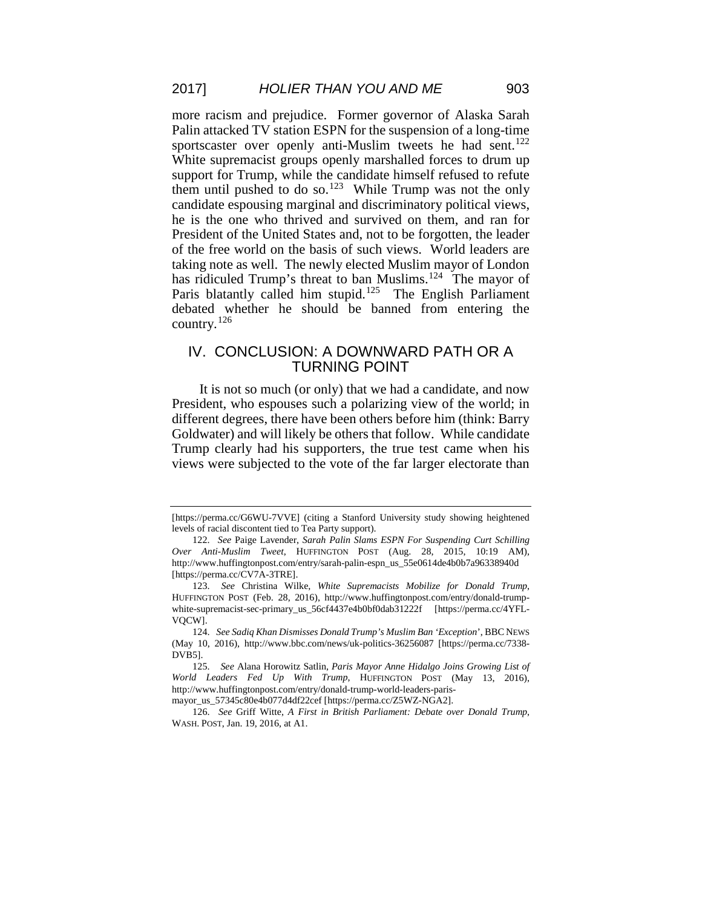more racism and prejudice. Former governor of Alaska Sarah Palin attacked TV station ESPN for the suspension of a long-time sportscaster over openly anti-Muslim tweets he had sent.<sup>[122](#page-23-0)</sup> White supremacist groups openly marshalled forces to drum up support for Trump, while the candidate himself refused to refute them until pushed to do so.<sup>123</sup> While Trump was not the only candidate espousing marginal and discriminatory political views, he is the one who thrived and survived on them, and ran for President of the United States and, not to be forgotten, the leader of the free world on the basis of such views. World leaders are taking note as well. The newly elected Muslim mayor of London has ridiculed Trump's threat to ban Muslims.<sup>[124](#page-23-2)</sup> The mayor of Paris blatantly called him stupid.<sup>125</sup> The English Parliament debated whether he should be banned from entering the country.[126](#page-23-4)

#### IV. CONCLUSION: A DOWNWARD PATH OR A TURNING POINT

It is not so much (or only) that we had a candidate, and now President, who espouses such a polarizing view of the world; in different degrees, there have been others before him (think: Barry Goldwater) and will likely be others that follow. While candidate Trump clearly had his supporters, the true test came when his views were subjected to the vote of the far larger electorate than

<sup>[</sup>https://perma.cc/G6WU-7VVE] (citing a Stanford University study showing heightened levels of racial discontent tied to Tea Party support).

<span id="page-23-0"></span><sup>122.</sup> *See* Paige Lavender, *Sarah Palin Slams ESPN For Suspending Curt Schilling Over Anti-Muslim Tweet*, HUFFINGTON POST (Aug. 28, 2015, 10:19 AM), http://www.huffingtonpost.com/entry/sarah-palin-espn\_us\_55e0614de4b0b7a96338940d [https://perma.cc/CV7A-3TRE].

<span id="page-23-1"></span><sup>123.</sup> *See* Christina Wilke, *White Supremacists Mobilize for Donald Trump*, HUFFINGTON POST (Feb. 28, 2016), http://www.huffingtonpost.com/entry/donald-trumpwhite-supremacist-sec-primary\_us\_56cf4437e4b0bf0dab31222f [https://perma.cc/4YFL-VQCW].

<span id="page-23-2"></span><sup>124.</sup> *See Sadiq Khan Dismisses Donald Trump's Muslim Ban 'Exception*', BBC NEWS (May 10, 2016), http://www.bbc.com/news/uk-politics-36256087 [https://perma.cc/7338- DVB5].

<span id="page-23-3"></span><sup>125.</sup> *See* Alana Horowitz Satlin, *Paris Mayor Anne Hidalgo Joins Growing List of World Leaders Fed Up With Trump*, HUFFINGTON POST (May 13, 2016), http://www.huffingtonpost.com/entry/donald-trump-world-leaders-paris-

<span id="page-23-4"></span>mayor\_us\_57345c80e4b077d4df22cef [https://perma.cc/Z5WZ-NGA2].

<sup>126.</sup> *See* Griff Witte, *A First in British Parliament: Debate over Donald Trump*, WASH. POST, Jan. 19, 2016, at A1.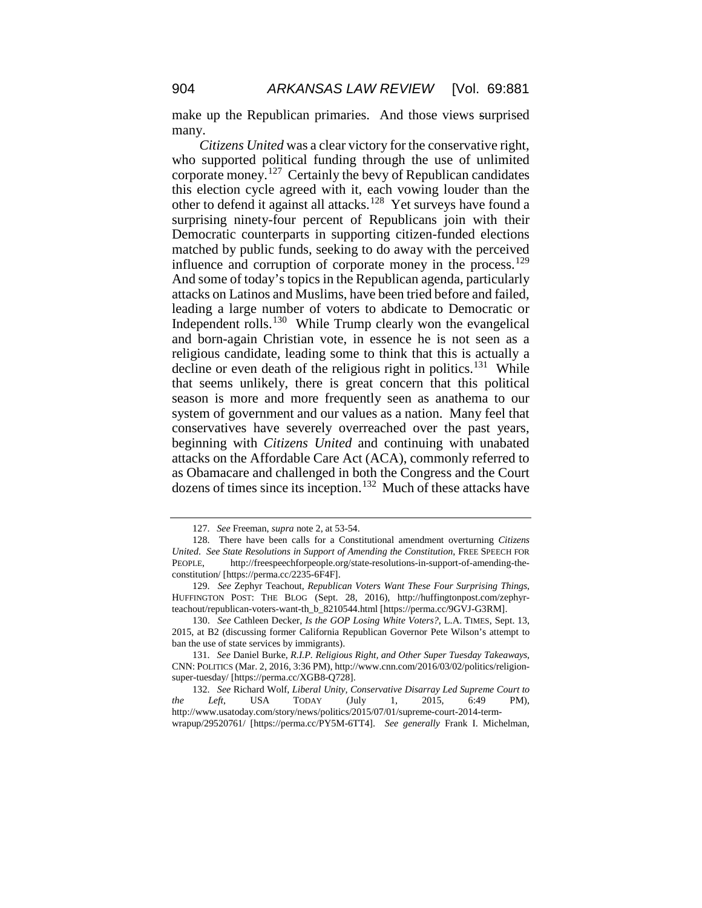make up the Republican primaries. And those views surprised many.

*Citizens United* was a clear victory for the conservative right, who supported political funding through the use of unlimited corporate money.[127](#page-24-0) Certainly the bevy of Republican candidates this election cycle agreed with it, each vowing louder than the other to defend it against all attacks.[128](#page-24-1) Yet surveys have found a surprising ninety-four percent of Republicans join with their Democratic counterparts in supporting citizen-funded elections matched by public funds, seeking to do away with the perceived influence and corruption of corporate money in the process.<sup>[129](#page-24-2)</sup> And some of today's topics in the Republican agenda, particularly attacks on Latinos and Muslims, have been tried before and failed, leading a large number of voters to abdicate to Democratic or Independent rolls.[130](#page-24-3) While Trump clearly won the evangelical and born-again Christian vote, in essence he is not seen as a religious candidate, leading some to think that this is actually a decline or even death of the religious right in politics.<sup>131</sup> While that seems unlikely, there is great concern that this political season is more and more frequently seen as anathema to our system of government and our values as a nation. Many feel that conservatives have severely overreached over the past years, beginning with *Citizens United* and continuing with unabated attacks on the Affordable Care Act (ACA), commonly referred to as Obamacare and challenged in both the Congress and the Court dozens of times since its inception.<sup>[132](#page-24-5)</sup> Much of these attacks have

<sup>127.</sup> *See* Freeman, *supra* note 2, at 53-54.

<span id="page-24-1"></span><span id="page-24-0"></span><sup>128.</sup> There have been calls for a Constitutional amendment overturning *Citizens United*. *See State Resolutions in Support of Amending the Constitution*, FREE SPEECH FOR PEOPLE, http://freespeechforpeople.org/state-resolutions-in-support-of-amending-theconstitution/ [https://perma.cc/2235-6F4F].

<span id="page-24-2"></span><sup>129.</sup> *See* Zephyr Teachout, *Republican Voters Want These Four Surprising Things*, HUFFINGTON POST: THE BLOG (Sept. 28, 2016), http://huffingtonpost.com/zephyrteachout/republican-voters-want-th\_b\_8210544.html [https://perma.cc/9GVJ-G3RM].

<span id="page-24-3"></span><sup>130.</sup> *See* Cathleen Decker, *Is the GOP Losing White Voters?*, L.A. TIMES, Sept. 13, 2015, at B2 (discussing former California Republican Governor Pete Wilson's attempt to ban the use of state services by immigrants).

<span id="page-24-4"></span><sup>131.</sup> *See* Daniel Burke, *R.I.P. Religious Right, and Other Super Tuesday Takeaways*, CNN: POLITICS (Mar. 2, 2016, 3:36 PM), http://www.cnn.com/2016/03/02/politics/religionsuper-tuesday/ [https://perma.cc/XGB8-Q728].

<span id="page-24-5"></span><sup>132.</sup> *See* Richard Wolf, *Liberal Unity, Conservative Disarray Led Supreme Court to the Left*, USA TODAY (July 1, 2015, 6:49 PM), http://www.usatoday.com/story/news/politics/2015/07/01/supreme-court-2014-termwrapup/29520761/ [https://perma.cc/PY5M-6TT4]. *See generally* Frank I. Michelman,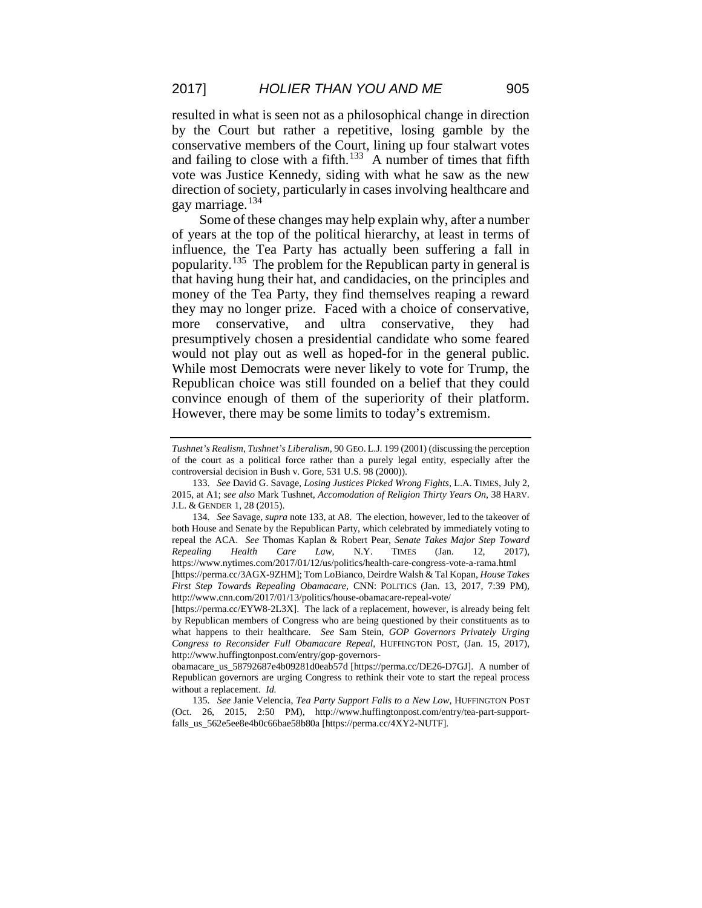resulted in what is seen not as a philosophical change in direction by the Court but rather a repetitive, losing gamble by the conservative members of the Court, lining up four stalwart votes and failing to close with a fifth.<sup>[133](#page-25-0)</sup> A number of times that fifth vote was Justice Kennedy, siding with what he saw as the new direction of society, particularly in cases involving healthcare and gay marriage.<sup>[134](#page-25-1)</sup>

Some of these changes may help explain why, after a number of years at the top of the political hierarchy, at least in terms of influence, the Tea Party has actually been suffering a fall in popularity.[135](#page-25-2) The problem for the Republican party in general is that having hung their hat, and candidacies, on the principles and money of the Tea Party, they find themselves reaping a reward they may no longer prize. Faced with a choice of conservative, more conservative, and ultra conservative, they had presumptively chosen a presidential candidate who some feared would not play out as well as hoped-for in the general public. While most Democrats were never likely to vote for Trump, the Republican choice was still founded on a belief that they could convince enough of them of the superiority of their platform. However, there may be some limits to today's extremism.

*Tushnet's Realism, Tushnet's Liberalism*, 90 GEO. L.J. 199 (2001) (discussing the perception of the court as a political force rather than a purely legal entity, especially after the controversial decision in Bush v. Gore, 531 U.S. 98 (2000)).

<span id="page-25-0"></span><sup>133.</sup> *See* David G. Savage, *Losing Justices Picked Wrong Fights*, L.A. TIMES, July 2, 2015, at A1; *see also* Mark Tushnet, *Accomodation of Religion Thirty Years On*, 38 HARV. J.L. & GENDER 1, 28 (2015).

<span id="page-25-1"></span><sup>134.</sup> *See* Savage, *supra* note 133, at A8. The election, however, led to the takeover of both House and Senate by the Republican Party, which celebrated by immediately voting to repeal the ACA. *See* Thomas Kaplan & Robert Pear, *Senate Takes Major Step Toward Repealing Health Care Law*, N.Y. TIMES (Jan. 12, 2017), https://www.nytimes.com/2017/01/12/us/politics/health-care-congress-vote-a-rama.html [https://perma.cc/3AGX-9ZHM]; Tom LoBianco, Deirdre Walsh & Tal Kopan, *House Takes First Step Towards Repealing Obamacare*, CNN: POLITICS (Jan. 13, 2017, 7:39 PM),

http://www.cnn.com/2017/01/13/politics/house-obamacare-repeal-vote/ [https://perma.cc/EYW8-2L3X]. The lack of a replacement, however, is already being felt by Republican members of Congress who are being questioned by their constituents as to what happens to their healthcare. *See* Sam Stein*, GOP Governors Privately Urging Congress to Reconsider Full Obamacare Repeal*, HUFFINGTON POST, (Jan. 15, 2017), http://www.huffingtonpost.com/entry/gop-governors-

obamacare\_us\_58792687e4b09281d0eab57d [https://perma.cc/DE26-D7GJ]. A number of Republican governors are urging Congress to rethink their vote to start the repeal process without a replacement. *Id.*

<span id="page-25-2"></span><sup>135.</sup> *See* Janie Velencia, *Tea Party Support Falls to a New Low*, HUFFINGTON POST (Oct. 26, 2015, 2:50 PM), http://www.huffingtonpost.com/entry/tea-part-supportfalls\_us\_562e5ee8e4b0c66bae58b80a [https://perma.cc/4XY2-NUTF].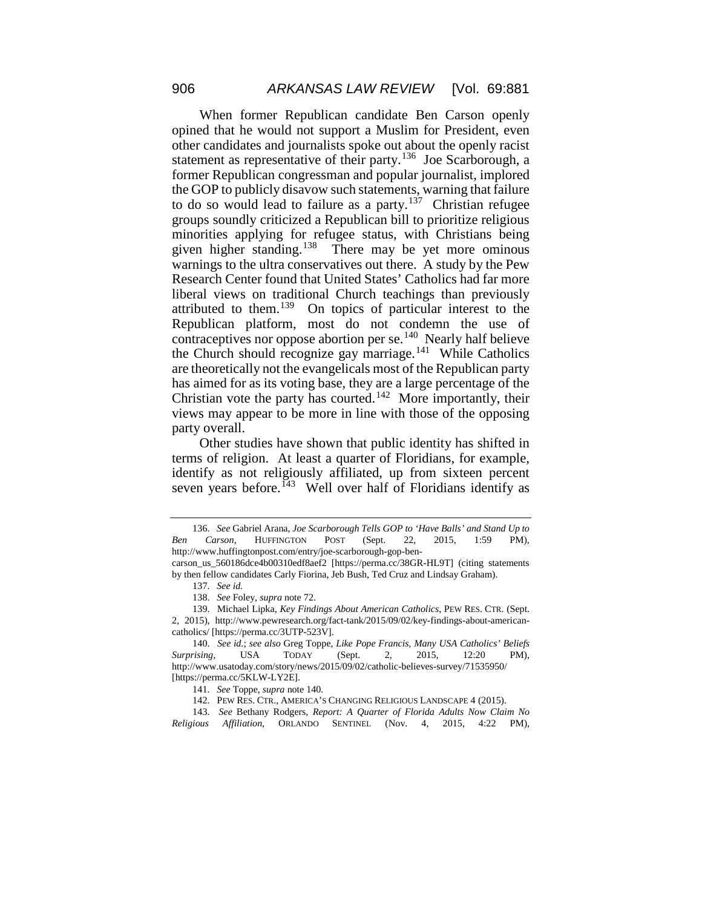When former Republican candidate Ben Carson openly opined that he would not support a Muslim for President, even other candidates and journalists spoke out about the openly racist statement as representative of their party.<sup>136</sup> Joe Scarborough, a former Republican congressman and popular journalist, implored the GOP to publicly disavow such statements, warning that failure to do so would lead to failure as a party.<sup>137</sup> Christian refugee groups soundly criticized a Republican bill to prioritize religious minorities applying for refugee status, with Christians being given higher standing.<sup>138</sup> There may be yet more ominous warnings to the ultra conservatives out there. A study by the Pew Research Center found that United States' Catholics had far more liberal views on traditional Church teachings than previously attributed to them.<sup>139</sup> On topics of particular interest to the Republican platform, most do not condemn the use of contraceptives nor oppose abortion per se.<sup>140</sup> Nearly half believe the Church should recognize gay marriage.<sup>[141](#page-26-5)</sup> While Catholics are theoretically not the evangelicals most of the Republican party has aimed for as its voting base, they are a large percentage of the Christian vote the party has courted.<sup>[142](#page-26-6)</sup> More importantly, their views may appear to be more in line with those of the opposing party overall.

Other studies have shown that public identity has shifted in terms of religion. At least a quarter of Floridians, for example, identify as not religiously affiliated, up from sixteen percent seven years before.<sup> $143$ </sup> Well over half of Floridians identify as

<span id="page-26-0"></span><sup>136.</sup> *See* Gabriel Arana, *Joe Scarborough Tells GOP to 'Have Balls' and Stand Up to Ben Carson*, HUFFINGTON POST (Sept. 22, 2015, 1:59 PM), http://www.huffingtonpost.com/entry/joe-scarborough-gop-ben-

<span id="page-26-1"></span>carson\_us\_560186dce4b00310edf8aef2 [https://perma.cc/38GR-HL9T] (citing statements by then fellow candidates Carly Fiorina, Jeb Bush, Ted Cruz and Lindsay Graham).

<sup>137.</sup> *See id.*

<sup>138.</sup> *See* Foley, *supra* note 72.

<span id="page-26-3"></span><span id="page-26-2"></span><sup>139.</sup> Michael Lipka, *Key Findings About American Catholics*, PEW RES. CTR. (Sept. 2, 2015), http://www.pewresearch.org/fact-tank/2015/09/02/key-findings-about-americancatholics/ [https://perma.cc/3UTP-523V].

<span id="page-26-4"></span><sup>140.</sup> *See id.*; *see also* Greg Toppe, *Like Pope Francis, Many USA Catholics' Beliefs Surprising,* USA TODAY (Sept. 2, 2015, 12:20 PM), http://www.usatoday.com/story/news/2015/09/02/catholic-believes-survey/71535950/ [https://perma.cc/5KLW-LY2E].

<sup>141.</sup> *See* Toppe, *supra* note 140*.*

<sup>142.</sup> PEW RES. CTR., AMERICA'S CHANGING RELIGIOUS LANDSCAPE 4 (2015).

<span id="page-26-7"></span><span id="page-26-6"></span><span id="page-26-5"></span><sup>143.</sup> *See* Bethany Rodgers, *Report: A Quarter of Florida Adults Now Claim No Religious Affiliation*, ORLANDO SENTINEL (Nov. 4, 2015, 4:22 PM),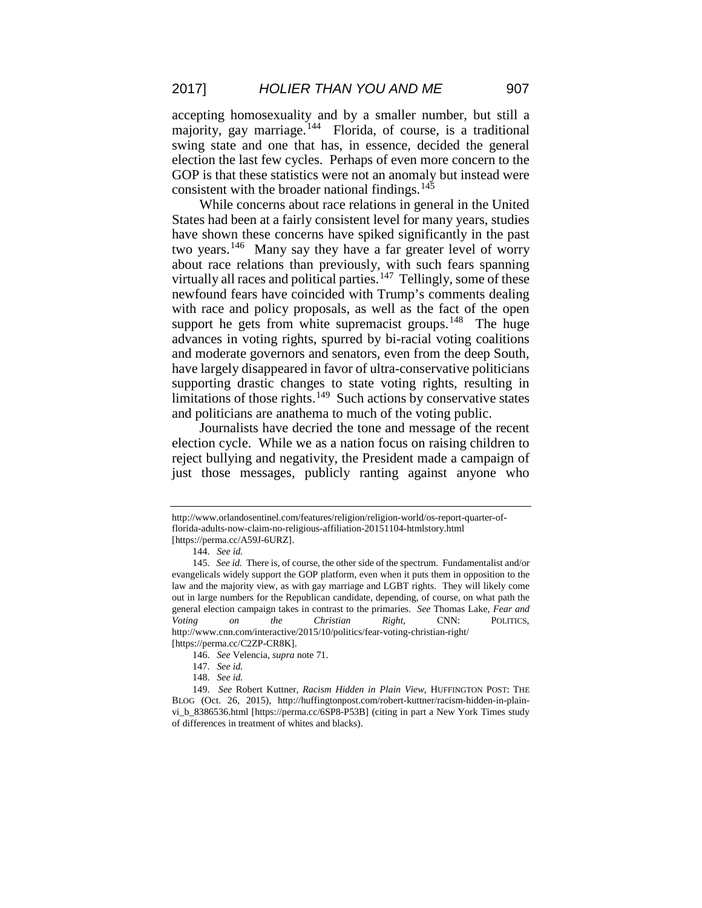accepting homosexuality and by a smaller number, but still a majority, gay marriage.<sup>[144](#page-27-0)</sup> Florida, of course, is a traditional swing state and one that has, in essence, decided the general election the last few cycles. Perhaps of even more concern to the GOP is that these statistics were not an anomaly but instead were consistent with the broader national findings. $145$ 

While concerns about race relations in general in the United States had been at a fairly consistent level for many years, studies have shown these concerns have spiked significantly in the past two years.<sup>[146](#page-27-2)</sup> Many say they have a far greater level of worry about race relations than previously, with such fears spanning virtually all races and political parties.<sup>147</sup> Tellingly, some of these newfound fears have coincided with Trump's comments dealing with race and policy proposals, as well as the fact of the open support he gets from white supremacist groups.<sup>[148](#page-27-4)</sup> The huge advances in voting rights, spurred by bi-racial voting coalitions and moderate governors and senators, even from the deep South, have largely disappeared in favor of ultra-conservative politicians supporting drastic changes to state voting rights, resulting in limitations of those rights.<sup>[149](#page-27-5)</sup> Such actions by conservative states and politicians are anathema to much of the voting public.

Journalists have decried the tone and message of the recent election cycle. While we as a nation focus on raising children to reject bullying and negativity, the President made a campaign of just those messages, publicly ranting against anyone who

http://www.orlandosentinel.com/features/religion/religion-world/os-report-quarter-offlorida-adults-now-claim-no-religious-affiliation-20151104-htmlstory.html [https://perma.cc/A59J-6URZ].

<sup>144.</sup> *See id.*

<span id="page-27-1"></span><span id="page-27-0"></span><sup>145.</sup> *See id.* There is, of course, the other side of the spectrum. Fundamentalist and/or evangelicals widely support the GOP platform, even when it puts them in opposition to the law and the majority view, as with gay marriage and LGBT rights. They will likely come out in large numbers for the Republican candidate, depending, of course, on what path the general election campaign takes in contrast to the primaries. *See* Thomas Lake, *Fear and Voting on the Christian Right*, CNN: POLITICS, http://www.cnn.com/interactive/2015/10/politics/fear-voting-christian-right/ [https://perma.cc/C2ZP-CR8K].

<sup>146.</sup> *See* Velencia, *supra* note 71.

<sup>147.</sup> *See id.*

<sup>148.</sup> *See id.*

<span id="page-27-5"></span><span id="page-27-4"></span><span id="page-27-3"></span><span id="page-27-2"></span><sup>149.</sup> *See* Robert Kuttner, *Racism Hidden in Plain View*, HUFFINGTON POST: THE BLOG (Oct. 26, 2015), http://huffingtonpost.com/robert-kuttner/racism-hidden-in-plainvi\_b\_8386536.html [https://perma.cc/6SP8-P53B] (citing in part a New York Times study of differences in treatment of whites and blacks).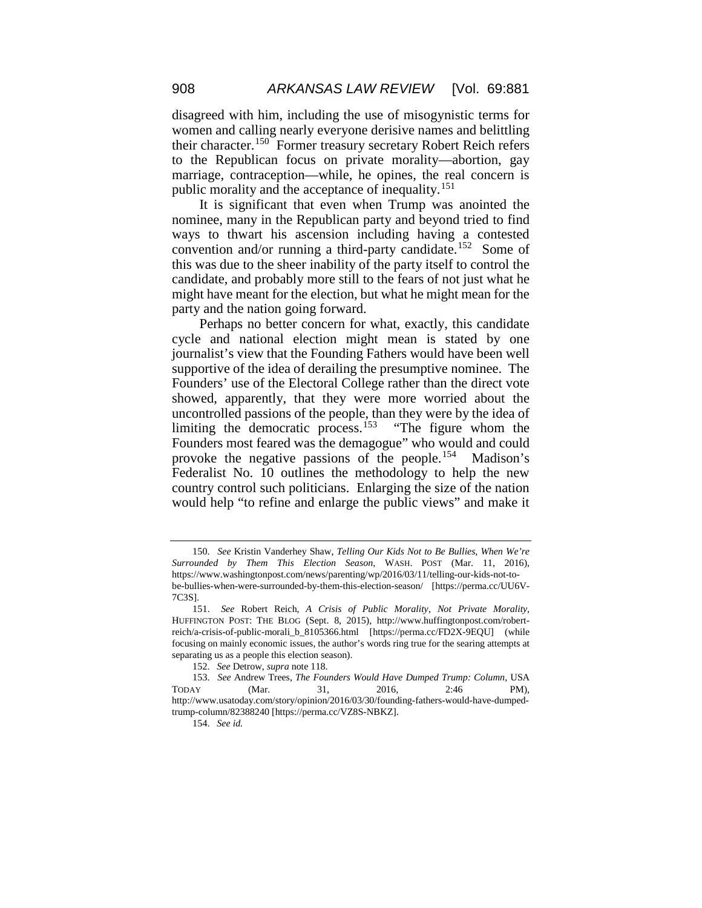disagreed with him, including the use of misogynistic terms for women and calling nearly everyone derisive names and belittling their character.[150](#page-28-0) Former treasury secretary Robert Reich refers to the Republican focus on private morality—abortion, gay marriage, contraception—while, he opines, the real concern is public morality and the acceptance of inequality.<sup>[151](#page-28-1)</sup>

It is significant that even when Trump was anointed the nominee, many in the Republican party and beyond tried to find ways to thwart his ascension including having a contested convention and/or running a third-party candidate.<sup>152</sup> Some of this was due to the sheer inability of the party itself to control the candidate, and probably more still to the fears of not just what he might have meant for the election, but what he might mean for the party and the nation going forward.

Perhaps no better concern for what, exactly, this candidate cycle and national election might mean is stated by one journalist's view that the Founding Fathers would have been well supportive of the idea of derailing the presumptive nominee. The Founders' use of the Electoral College rather than the direct vote showed, apparently, that they were more worried about the uncontrolled passions of the people, than they were by the idea of limiting the democratic process.<sup>[153](#page-28-3)</sup> "The figure whom the Founders most feared was the demagogue" who would and could provoke the negative passions of the people.[154](#page-28-4) Madison's Federalist No. 10 outlines the methodology to help the new country control such politicians. Enlarging the size of the nation would help "to refine and enlarge the public views" and make it

<span id="page-28-0"></span><sup>150.</sup> *See* Kristin Vanderhey Shaw, *Telling Our Kids Not to Be Bullies, When We're Surrounded by Them This Election Season*, WASH. POST (Mar. 11, 2016), https://www.washingtonpost.com/news/parenting/wp/2016/03/11/telling-our-kids-not-tobe-bullies-when-were-surrounded-by-them-this-election-season/ [https://perma.cc/UU6V-7C3S].

<span id="page-28-1"></span><sup>151.</sup> *See* Robert Reich, *A Crisis of Public Morality, Not Private Morality*, HUFFINGTON POST: THE BLOG (Sept. 8, 2015), http://www.huffingtonpost.com/robertreich/a-crisis-of-public-morali\_b\_8105366.html [https://perma.cc/FD2X-9EQU] (while focusing on mainly economic issues, the author's words ring true for the searing attempts at separating us as a people this election season).

<sup>152.</sup> *See* Detrow, *supra* note 118.

<span id="page-28-4"></span><span id="page-28-3"></span><span id="page-28-2"></span><sup>153.</sup> *See* Andrew Trees, *The Founders Would Have Dumped Trump: Column*, USA TODAY (Mar. 31, 2016, 2:46 PM), http://www.usatoday.com/story/opinion/2016/03/30/founding-fathers-would-have-dumpedtrump-column/82388240 [https://perma.cc/VZ8S-NBKZ].

<sup>154.</sup> *See id.*